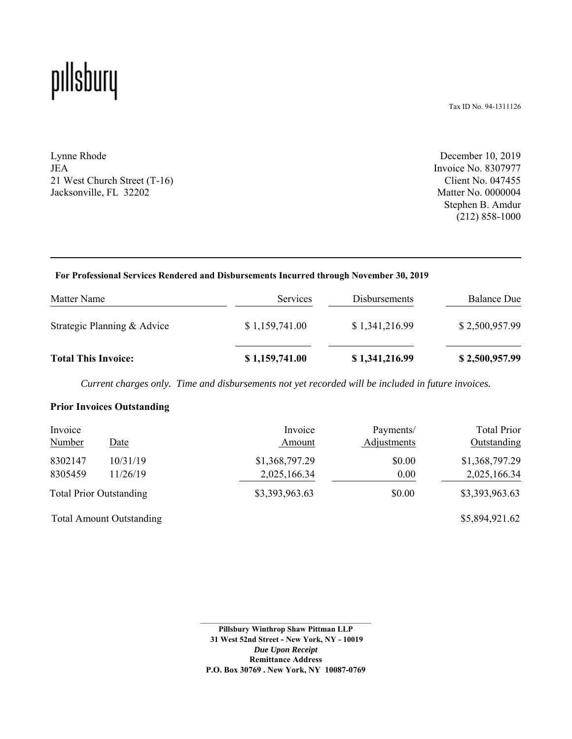## pıllsbury

Tax ID No. 94-1311126

Lynne Rhode JEA 21 West Church Street (T-16) Jacksonville, FL 32202

December 10, 2019 Invoice No. 8307977 Client No. 047455 Matter No. 0000004 Stephen B. Amdur (212) 858-1000

#### **For Professional Services Rendered and Disbursements Incurred through November 30, 2019**

| Matter Name                 | <b>Services</b> | <b>Disbursements</b> | <b>Balance Due</b> |
|-----------------------------|-----------------|----------------------|--------------------|
| Strategic Planning & Advice | \$1,159,741.00  | \$1,341,216.99       | \$2,500,957.99     |
| <b>Total This Invoice:</b>  | \$1,159,741.00  | \$1,341,216.99       | \$2,500,957.99     |

*Current charges only. Time and disbursements not yet recorded will be included in future invoices.*

#### **Prior Invoices Outstanding**

| Invoice<br><b>Number</b>       | Date                            | Invoice<br>Amount | Payments/<br>Adjustments | <b>Total Prior</b><br>Outstanding |
|--------------------------------|---------------------------------|-------------------|--------------------------|-----------------------------------|
| 8302147                        | 10/31/19                        | \$1,368,797.29    | \$0.00                   | \$1,368,797.29                    |
| 8305459                        | 11/26/19                        | 2,025,166.34      | 0.00                     | 2,025,166.34                      |
| <b>Total Prior Outstanding</b> |                                 | \$3,393,963.63    | \$0.00                   | \$3,393,963.63                    |
|                                | <b>Total Amount Outstanding</b> |                   |                          | \$5,894,921.62                    |

**Pillsbury Winthrop Shaw Pittman LLP 31 West 52nd Street - New York, NY - 10019** *Due Upon Receipt*  **Remittance Address P.O. Box 30769 . New York, NY 10087-0769**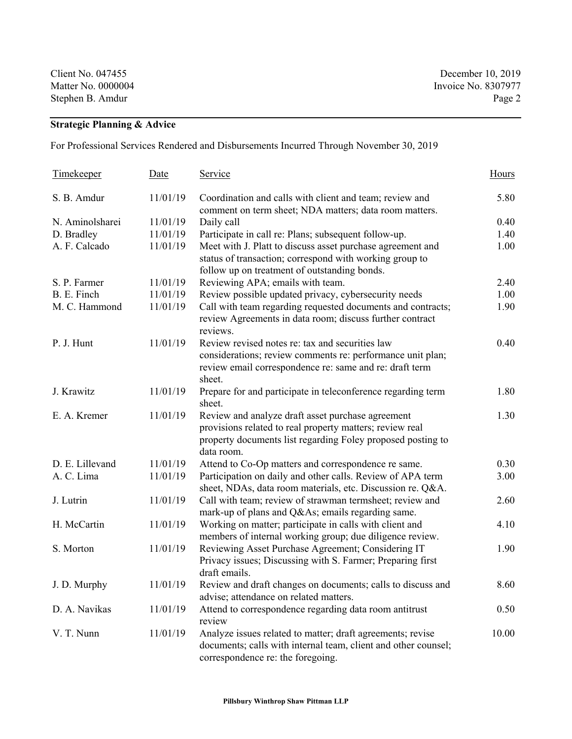Stephen B. Amdur Page 2

Client No. 047455 December 10, 2019 Matter No. 0000004 Invoice No. 8307977

## **Strategic Planning & Advice**

For Professional Services Rendered and Disbursements Incurred Through November 30, 2019

| Timekeeper      | <b>Date</b> | <u>Service</u>                                                                                                                                                                             | Hours |
|-----------------|-------------|--------------------------------------------------------------------------------------------------------------------------------------------------------------------------------------------|-------|
| S. B. Amdur     | 11/01/19    | Coordination and calls with client and team; review and<br>comment on term sheet; NDA matters; data room matters.                                                                          | 5.80  |
| N. Aminolsharei | 11/01/19    | Daily call                                                                                                                                                                                 | 0.40  |
| D. Bradley      | 11/01/19    | Participate in call re: Plans; subsequent follow-up.                                                                                                                                       | 1.40  |
| A. F. Calcado   | 11/01/19    | Meet with J. Platt to discuss asset purchase agreement and<br>status of transaction; correspond with working group to<br>follow up on treatment of outstanding bonds.                      | 1.00  |
| S. P. Farmer    | 11/01/19    | Reviewing APA; emails with team.                                                                                                                                                           | 2.40  |
| B. E. Finch     | 11/01/19    | Review possible updated privacy, cybersecurity needs                                                                                                                                       | 1.00  |
| M. C. Hammond   | 11/01/19    | Call with team regarding requested documents and contracts;<br>review Agreements in data room; discuss further contract<br>reviews.                                                        | 1.90  |
| P. J. Hunt      | 11/01/19    | Review revised notes re: tax and securities law<br>considerations; review comments re: performance unit plan;<br>review email correspondence re: same and re: draft term<br>sheet.         | 0.40  |
| J. Krawitz      | 11/01/19    | Prepare for and participate in teleconference regarding term<br>sheet.                                                                                                                     | 1.80  |
| E. A. Kremer    | 11/01/19    | Review and analyze draft asset purchase agreement<br>provisions related to real property matters; review real<br>property documents list regarding Foley proposed posting to<br>data room. | 1.30  |
| D. E. Lillevand | 11/01/19    | Attend to Co-Op matters and correspondence re same.                                                                                                                                        | 0.30  |
| A. C. Lima      | 11/01/19    | Participation on daily and other calls. Review of APA term<br>sheet, NDAs, data room materials, etc. Discussion re. Q&A.                                                                   | 3.00  |
| J. Lutrin       | 11/01/19    | Call with team; review of strawman termsheet; review and<br>mark-up of plans and Q&As emails regarding same.                                                                               | 2.60  |
| H. McCartin     | 11/01/19    | Working on matter; participate in calls with client and<br>members of internal working group; due diligence review.                                                                        | 4.10  |
| S. Morton       | 11/01/19    | Reviewing Asset Purchase Agreement; Considering IT<br>Privacy issues; Discussing with S. Farmer; Preparing first<br>draft emails.                                                          | 1.90  |
| J. D. Murphy    | 11/01/19    | Review and draft changes on documents; calls to discuss and<br>advise; attendance on related matters.                                                                                      | 8.60  |
| D. A. Navikas   | 11/01/19    | Attend to correspondence regarding data room antitrust<br>review                                                                                                                           | 0.50  |
| V. T. Nunn      | 11/01/19    | Analyze issues related to matter; draft agreements; revise<br>documents; calls with internal team, client and other counsel;<br>correspondence re: the foregoing.                          | 10.00 |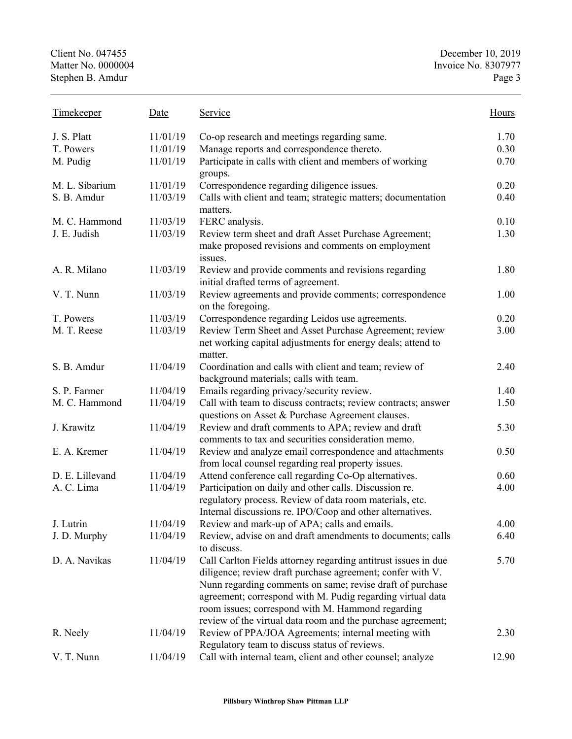| <b>Timekeeper</b> | Date     | Service                                                                                                                                                                                                                                                                                                                                                                     | Hours |
|-------------------|----------|-----------------------------------------------------------------------------------------------------------------------------------------------------------------------------------------------------------------------------------------------------------------------------------------------------------------------------------------------------------------------------|-------|
| J. S. Platt       | 11/01/19 | Co-op research and meetings regarding same.                                                                                                                                                                                                                                                                                                                                 | 1.70  |
| T. Powers         | 11/01/19 | Manage reports and correspondence thereto.                                                                                                                                                                                                                                                                                                                                  | 0.30  |
| M. Pudig          | 11/01/19 | Participate in calls with client and members of working<br>groups.                                                                                                                                                                                                                                                                                                          | 0.70  |
| M. L. Sibarium    | 11/01/19 | Correspondence regarding diligence issues.                                                                                                                                                                                                                                                                                                                                  | 0.20  |
| S. B. Amdur       | 11/03/19 | Calls with client and team; strategic matters; documentation<br>matters.                                                                                                                                                                                                                                                                                                    | 0.40  |
| M. C. Hammond     | 11/03/19 | FERC analysis.                                                                                                                                                                                                                                                                                                                                                              | 0.10  |
| J. E. Judish      | 11/03/19 | Review term sheet and draft Asset Purchase Agreement;<br>make proposed revisions and comments on employment<br>issues.                                                                                                                                                                                                                                                      | 1.30  |
| A. R. Milano      | 11/03/19 | Review and provide comments and revisions regarding<br>initial drafted terms of agreement.                                                                                                                                                                                                                                                                                  | 1.80  |
| V. T. Nunn        | 11/03/19 | Review agreements and provide comments; correspondence<br>on the foregoing.                                                                                                                                                                                                                                                                                                 | 1.00  |
| T. Powers         | 11/03/19 | Correspondence regarding Leidos use agreements.                                                                                                                                                                                                                                                                                                                             | 0.20  |
| M. T. Reese       | 11/03/19 | Review Term Sheet and Asset Purchase Agreement; review<br>net working capital adjustments for energy deals; attend to<br>matter.                                                                                                                                                                                                                                            | 3.00  |
| S. B. Amdur       | 11/04/19 | Coordination and calls with client and team; review of<br>background materials; calls with team.                                                                                                                                                                                                                                                                            | 2.40  |
| S. P. Farmer      | 11/04/19 | Emails regarding privacy/security review.                                                                                                                                                                                                                                                                                                                                   | 1.40  |
| M. C. Hammond     | 11/04/19 | Call with team to discuss contracts; review contracts; answer<br>questions on Asset & Purchase Agreement clauses.                                                                                                                                                                                                                                                           | 1.50  |
| J. Krawitz        | 11/04/19 | Review and draft comments to APA; review and draft<br>comments to tax and securities consideration memo.                                                                                                                                                                                                                                                                    | 5.30  |
| E. A. Kremer      | 11/04/19 | Review and analyze email correspondence and attachments<br>from local counsel regarding real property issues.                                                                                                                                                                                                                                                               | 0.50  |
| D. E. Lillevand   | 11/04/19 | Attend conference call regarding Co-Op alternatives.                                                                                                                                                                                                                                                                                                                        | 0.60  |
| A. C. Lima        | 11/04/19 | Participation on daily and other calls. Discussion re.<br>regulatory process. Review of data room materials, etc.<br>Internal discussions re. IPO/Coop and other alternatives.                                                                                                                                                                                              | 4.00  |
| J. Lutrin         | 11/04/19 | Review and mark-up of APA; calls and emails.                                                                                                                                                                                                                                                                                                                                | 4.00  |
| J. D. Murphy      | 11/04/19 | Review, advise on and draft amendments to documents; calls<br>to discuss.                                                                                                                                                                                                                                                                                                   | 6.40  |
| D. A. Navikas     | 11/04/19 | Call Carlton Fields attorney regarding antitrust issues in due<br>diligence; review draft purchase agreement; confer with V.<br>Nunn regarding comments on same; revise draft of purchase<br>agreement; correspond with M. Pudig regarding virtual data<br>room issues; correspond with M. Hammond regarding<br>review of the virtual data room and the purchase agreement; | 5.70  |
| R. Neely          | 11/04/19 | Review of PPA/JOA Agreements; internal meeting with<br>Regulatory team to discuss status of reviews.                                                                                                                                                                                                                                                                        | 2.30  |
| V. T. Nunn        | 11/04/19 | Call with internal team, client and other counsel; analyze                                                                                                                                                                                                                                                                                                                  | 12.90 |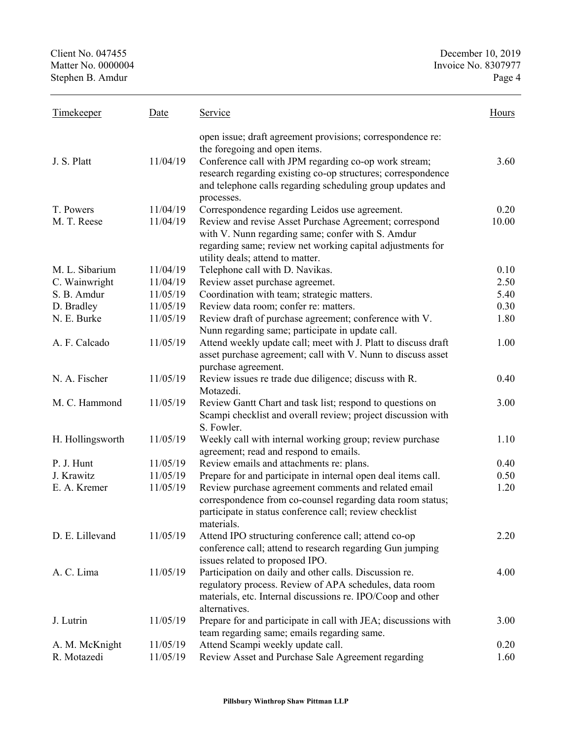| <b>Timekeeper</b> | Date     | Service                                                        | Hours |
|-------------------|----------|----------------------------------------------------------------|-------|
|                   |          | open issue; draft agreement provisions; correspondence re:     |       |
|                   |          | the foregoing and open items.                                  |       |
| J. S. Platt       | 11/04/19 | Conference call with JPM regarding co-op work stream;          | 3.60  |
|                   |          | research regarding existing co-op structures; correspondence   |       |
|                   |          | and telephone calls regarding scheduling group updates and     |       |
|                   |          | processes.                                                     |       |
| T. Powers         | 11/04/19 | Correspondence regarding Leidos use agreement.                 | 0.20  |
| M. T. Reese       | 11/04/19 | Review and revise Asset Purchase Agreement; correspond         | 10.00 |
|                   |          | with V. Nunn regarding same; confer with S. Amdur              |       |
|                   |          | regarding same; review net working capital adjustments for     |       |
|                   |          | utility deals; attend to matter.                               |       |
| M. L. Sibarium    | 11/04/19 | Telephone call with D. Navikas.                                | 0.10  |
| C. Wainwright     | 11/04/19 | Review asset purchase agreemet.                                | 2.50  |
| S. B. Amdur       | 11/05/19 | Coordination with team; strategic matters.                     | 5.40  |
| D. Bradley        | 11/05/19 | Review data room; confer re: matters.                          | 0.30  |
| N. E. Burke       | 11/05/19 | Review draft of purchase agreement; conference with V.         | 1.80  |
|                   |          | Nunn regarding same; participate in update call.               |       |
| A. F. Calcado     | 11/05/19 | Attend weekly update call; meet with J. Platt to discuss draft | 1.00  |
|                   |          | asset purchase agreement; call with V. Nunn to discuss asset   |       |
|                   |          | purchase agreement.                                            |       |
| N. A. Fischer     | 11/05/19 | Review issues re trade due diligence; discuss with R.          | 0.40  |
|                   |          | Motazedi.                                                      |       |
| M. C. Hammond     | 11/05/19 | Review Gantt Chart and task list; respond to questions on      | 3.00  |
|                   |          | Scampi checklist and overall review; project discussion with   |       |
|                   |          | S. Fowler.                                                     |       |
| H. Hollingsworth  | 11/05/19 | Weekly call with internal working group; review purchase       | 1.10  |
|                   |          | agreement; read and respond to emails.                         |       |
| P. J. Hunt        | 11/05/19 | Review emails and attachments re: plans.                       | 0.40  |
| J. Krawitz        | 11/05/19 | Prepare for and participate in internal open deal items call.  | 0.50  |
| E. A. Kremer      | 11/05/19 | Review purchase agreement comments and related email           | 1.20  |
|                   |          | correspondence from co-counsel regarding data room status;     |       |
|                   |          | participate in status conference call; review checklist        |       |
|                   |          | materials.                                                     |       |
| D. E. Lillevand   | 11/05/19 | Attend IPO structuring conference call; attend co-op           | 2.20  |
|                   |          | conference call; attend to research regarding Gun jumping      |       |
|                   |          | issues related to proposed IPO.                                |       |
| A. C. Lima        | 11/05/19 | Participation on daily and other calls. Discussion re.         | 4.00  |
|                   |          | regulatory process. Review of APA schedules, data room         |       |
|                   |          | materials, etc. Internal discussions re. IPO/Coop and other    |       |
|                   |          | alternatives.                                                  |       |
| J. Lutrin         | 11/05/19 | Prepare for and participate in call with JEA; discussions with | 3.00  |
|                   |          | team regarding same; emails regarding same.                    |       |
| A. M. McKnight    | 11/05/19 | Attend Scampi weekly update call.                              | 0.20  |
| R. Motazedi       | 11/05/19 | Review Asset and Purchase Sale Agreement regarding             | 1.60  |
|                   |          |                                                                |       |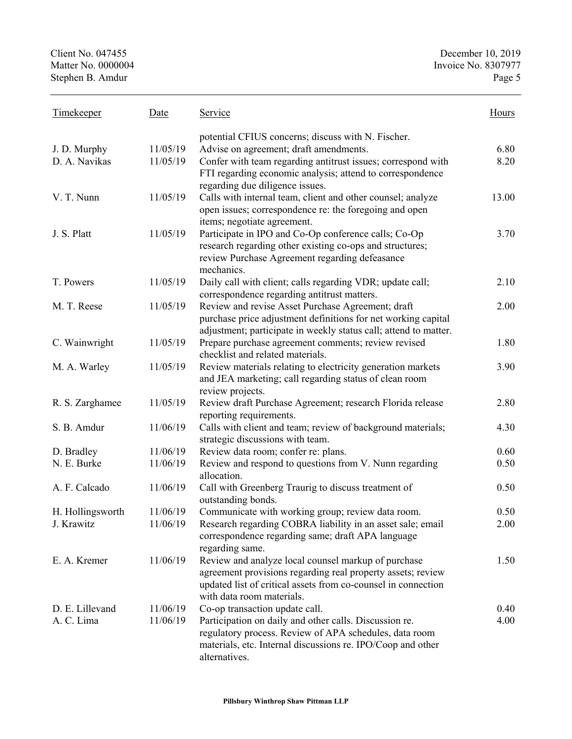| <b>Timekeeper</b>             | Date                 | Service                                                                                                                                                                                                          | Hours        |
|-------------------------------|----------------------|------------------------------------------------------------------------------------------------------------------------------------------------------------------------------------------------------------------|--------------|
| J. D. Murphy<br>D. A. Navikas | 11/05/19<br>11/05/19 | potential CFIUS concerns; discuss with N. Fischer.<br>Advise on agreement; draft amendments.<br>Confer with team regarding antitrust issues; correspond with                                                     | 6.80<br>8.20 |
|                               |                      | FTI regarding economic analysis; attend to correspondence<br>regarding due diligence issues.                                                                                                                     |              |
| V. T. Nunn                    | 11/05/19             | Calls with internal team, client and other counsel; analyze<br>open issues; correspondence re: the foregoing and open<br>items; negotiate agreement.                                                             | 13.00        |
| J. S. Platt                   | 11/05/19             | Participate in IPO and Co-Op conference calls; Co-Op<br>research regarding other existing co-ops and structures;<br>review Purchase Agreement regarding defeasance<br>mechanics.                                 | 3.70         |
| T. Powers                     | 11/05/19             | Daily call with client; calls regarding VDR; update call;<br>correspondence regarding antitrust matters.                                                                                                         | 2.10         |
| M. T. Reese                   | 11/05/19             | Review and revise Asset Purchase Agreement; draft<br>purchase price adjustment definitions for net working capital<br>adjustment; participate in weekly status call; attend to matter.                           | 2.00         |
| C. Wainwright                 | 11/05/19             | Prepare purchase agreement comments; review revised<br>checklist and related materials.                                                                                                                          | 1.80         |
| M. A. Warley                  | 11/05/19             | Review materials relating to electricity generation markets<br>and JEA marketing; call regarding status of clean room<br>review projects.                                                                        | 3.90         |
| R. S. Zarghamee               | 11/05/19             | Review draft Purchase Agreement; research Florida release<br>reporting requirements.                                                                                                                             | 2.80         |
| S. B. Amdur                   | 11/06/19             | Calls with client and team; review of background materials;<br>strategic discussions with team.                                                                                                                  | 4.30         |
| D. Bradley                    | 11/06/19             | Review data room; confer re: plans.                                                                                                                                                                              | 0.60         |
| N. E. Burke                   | 11/06/19             | Review and respond to questions from V. Nunn regarding<br>allocation.                                                                                                                                            | 0.50         |
| A. F. Calcado                 | 11/06/19             | Call with Greenberg Traurig to discuss treatment of<br>outstanding bonds.                                                                                                                                        | 0.50         |
| H. Hollingsworth              | 11/06/19             | Communicate with working group; review data room.                                                                                                                                                                | 0.50         |
| J. Krawitz                    | 11/06/19             | Research regarding COBRA liability in an asset sale; email<br>correspondence regarding same; draft APA language<br>regarding same.                                                                               | 2.00         |
| E. A. Kremer                  | 11/06/19             | Review and analyze local counsel markup of purchase<br>agreement provisions regarding real property assets; review<br>updated list of critical assets from co-counsel in connection<br>with data room materials. | 1.50         |
| D. E. Lillevand               | 11/06/19             | Co-op transaction update call.                                                                                                                                                                                   | 0.40         |
| A. C. Lima                    | 11/06/19             | Participation on daily and other calls. Discussion re.<br>regulatory process. Review of APA schedules, data room<br>materials, etc. Internal discussions re. IPO/Coop and other<br>alternatives.                 | 4.00         |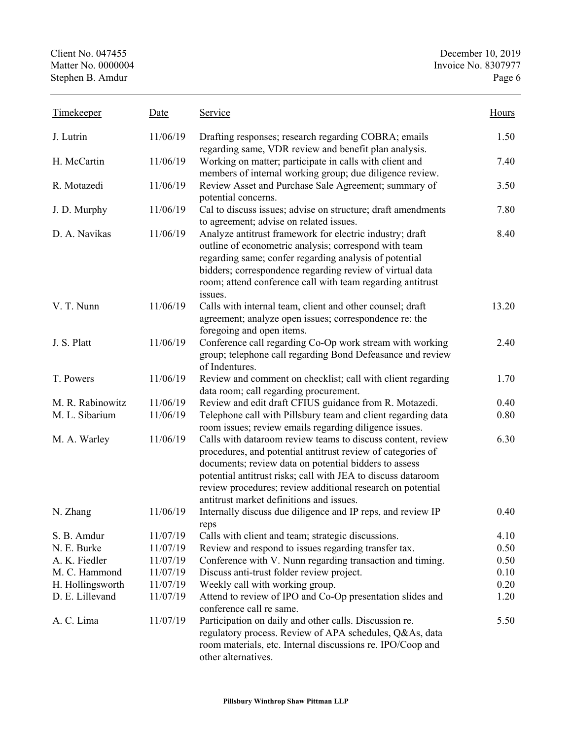| <b>Timekeeper</b> | Date     | Service                                                                                                                                                                                                                                                                                                                                                       | Hours |
|-------------------|----------|---------------------------------------------------------------------------------------------------------------------------------------------------------------------------------------------------------------------------------------------------------------------------------------------------------------------------------------------------------------|-------|
| J. Lutrin         | 11/06/19 | Drafting responses; research regarding COBRA; emails<br>regarding same, VDR review and benefit plan analysis.                                                                                                                                                                                                                                                 | 1.50  |
| H. McCartin       | 11/06/19 | Working on matter; participate in calls with client and<br>members of internal working group; due diligence review.                                                                                                                                                                                                                                           | 7.40  |
| R. Motazedi       | 11/06/19 | Review Asset and Purchase Sale Agreement; summary of<br>potential concerns.                                                                                                                                                                                                                                                                                   | 3.50  |
| J. D. Murphy      | 11/06/19 | Cal to discuss issues; advise on structure; draft amendments<br>to agreement; advise on related issues.                                                                                                                                                                                                                                                       | 7.80  |
| D. A. Navikas     | 11/06/19 | Analyze antitrust framework for electric industry; draft<br>outline of econometric analysis; correspond with team<br>regarding same; confer regarding analysis of potential<br>bidders; correspondence regarding review of virtual data<br>room; attend conference call with team regarding antitrust<br>issues.                                              | 8.40  |
| V. T. Nunn        | 11/06/19 | Calls with internal team, client and other counsel; draft<br>agreement; analyze open issues; correspondence re: the<br>foregoing and open items.                                                                                                                                                                                                              | 13.20 |
| J. S. Platt       | 11/06/19 | Conference call regarding Co-Op work stream with working<br>group; telephone call regarding Bond Defeasance and review<br>of Indentures.                                                                                                                                                                                                                      | 2.40  |
| T. Powers         | 11/06/19 | Review and comment on checklist; call with client regarding<br>data room; call regarding procurement.                                                                                                                                                                                                                                                         | 1.70  |
| M. R. Rabinowitz  | 11/06/19 | Review and edit draft CFIUS guidance from R. Motazedi.                                                                                                                                                                                                                                                                                                        | 0.40  |
| M. L. Sibarium    | 11/06/19 | Telephone call with Pillsbury team and client regarding data<br>room issues; review emails regarding diligence issues.                                                                                                                                                                                                                                        | 0.80  |
| M. A. Warley      | 11/06/19 | Calls with dataroom review teams to discuss content, review<br>procedures, and potential antitrust review of categories of<br>documents; review data on potential bidders to assess<br>potential antitrust risks; call with JEA to discuss dataroom<br>review procedures; review additional research on potential<br>antitrust market definitions and issues. | 6.30  |
| N. Zhang          | 11/06/19 | Internally discuss due diligence and IP reps, and review IP<br>reps                                                                                                                                                                                                                                                                                           | 0.40  |
| S. B. Amdur       | 11/07/19 | Calls with client and team; strategic discussions.                                                                                                                                                                                                                                                                                                            | 4.10  |
| N. E. Burke       | 11/07/19 | Review and respond to issues regarding transfer tax.                                                                                                                                                                                                                                                                                                          | 0.50  |
| A. K. Fiedler     | 11/07/19 | Conference with V. Nunn regarding transaction and timing.                                                                                                                                                                                                                                                                                                     | 0.50  |
| M. C. Hammond     | 11/07/19 | Discuss anti-trust folder review project.                                                                                                                                                                                                                                                                                                                     | 0.10  |
| H. Hollingsworth  | 11/07/19 | Weekly call with working group.                                                                                                                                                                                                                                                                                                                               | 0.20  |
| D. E. Lillevand   | 11/07/19 | Attend to review of IPO and Co-Op presentation slides and<br>conference call re same.                                                                                                                                                                                                                                                                         | 1.20  |
| A. C. Lima        | 11/07/19 | Participation on daily and other calls. Discussion re.<br>regulatory process. Review of APA schedules, Q&As, data<br>room materials, etc. Internal discussions re. IPO/Coop and<br>other alternatives.                                                                                                                                                        | 5.50  |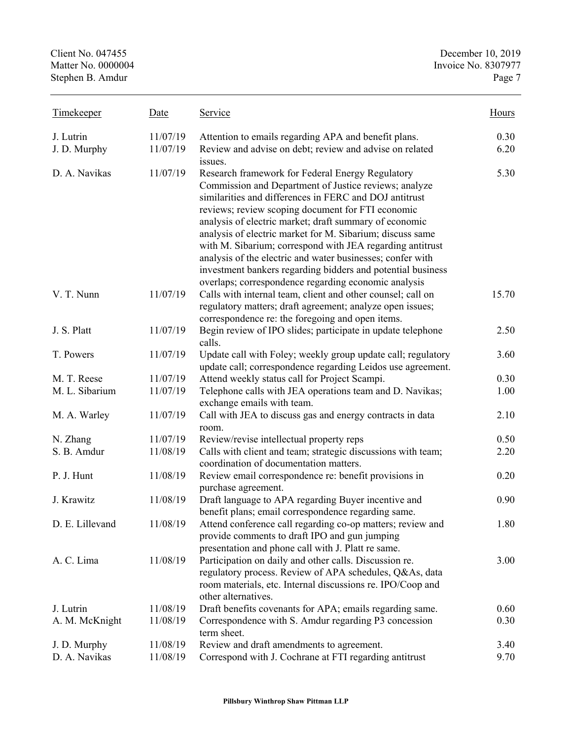| Timekeeper      | Date     | <u>Service</u>                                                                                                                                                                                                                                                                                                                                                                                                                                                                                                                                                                                    | Hours |
|-----------------|----------|---------------------------------------------------------------------------------------------------------------------------------------------------------------------------------------------------------------------------------------------------------------------------------------------------------------------------------------------------------------------------------------------------------------------------------------------------------------------------------------------------------------------------------------------------------------------------------------------------|-------|
| J. Lutrin       | 11/07/19 | Attention to emails regarding APA and benefit plans.                                                                                                                                                                                                                                                                                                                                                                                                                                                                                                                                              | 0.30  |
| J. D. Murphy    | 11/07/19 | Review and advise on debt; review and advise on related<br>issues.                                                                                                                                                                                                                                                                                                                                                                                                                                                                                                                                | 6.20  |
| D. A. Navikas   | 11/07/19 | Research framework for Federal Energy Regulatory<br>Commission and Department of Justice reviews; analyze<br>similarities and differences in FERC and DOJ antitrust<br>reviews; review scoping document for FTI economic<br>analysis of electric market; draft summary of economic<br>analysis of electric market for M. Sibarium; discuss same<br>with M. Sibarium; correspond with JEA regarding antitrust<br>analysis of the electric and water businesses; confer with<br>investment bankers regarding bidders and potential business<br>overlaps; correspondence regarding economic analysis | 5.30  |
| V. T. Nunn      | 11/07/19 | Calls with internal team, client and other counsel; call on<br>regulatory matters; draft agreement; analyze open issues;<br>correspondence re: the foregoing and open items.                                                                                                                                                                                                                                                                                                                                                                                                                      | 15.70 |
| J. S. Platt     | 11/07/19 | Begin review of IPO slides; participate in update telephone<br>calls.                                                                                                                                                                                                                                                                                                                                                                                                                                                                                                                             | 2.50  |
| T. Powers       | 11/07/19 | Update call with Foley; weekly group update call; regulatory<br>update call; correspondence regarding Leidos use agreement.                                                                                                                                                                                                                                                                                                                                                                                                                                                                       | 3.60  |
| M. T. Reese     | 11/07/19 | Attend weekly status call for Project Scampi.                                                                                                                                                                                                                                                                                                                                                                                                                                                                                                                                                     | 0.30  |
| M. L. Sibarium  | 11/07/19 | Telephone calls with JEA operations team and D. Navikas;<br>exchange emails with team.                                                                                                                                                                                                                                                                                                                                                                                                                                                                                                            | 1.00  |
| M. A. Warley    | 11/07/19 | Call with JEA to discuss gas and energy contracts in data<br>room.                                                                                                                                                                                                                                                                                                                                                                                                                                                                                                                                | 2.10  |
| N. Zhang        | 11/07/19 | Review/revise intellectual property reps                                                                                                                                                                                                                                                                                                                                                                                                                                                                                                                                                          | 0.50  |
| S. B. Amdur     | 11/08/19 | Calls with client and team; strategic discussions with team;<br>coordination of documentation matters.                                                                                                                                                                                                                                                                                                                                                                                                                                                                                            | 2.20  |
| P. J. Hunt      | 11/08/19 | Review email correspondence re: benefit provisions in<br>purchase agreement.                                                                                                                                                                                                                                                                                                                                                                                                                                                                                                                      | 0.20  |
| J. Krawitz      | 11/08/19 | Draft language to APA regarding Buyer incentive and<br>benefit plans; email correspondence regarding same.                                                                                                                                                                                                                                                                                                                                                                                                                                                                                        | 0.90  |
| D. E. Lillevand | 11/08/19 | Attend conference call regarding co-op matters; review and<br>provide comments to draft IPO and gun jumping<br>presentation and phone call with J. Platt re same.                                                                                                                                                                                                                                                                                                                                                                                                                                 | 1.80  |
| A. C. Lima      | 11/08/19 | Participation on daily and other calls. Discussion re.<br>regulatory process. Review of APA schedules, Q&As, data<br>room materials, etc. Internal discussions re. IPO/Coop and<br>other alternatives.                                                                                                                                                                                                                                                                                                                                                                                            | 3.00  |
| J. Lutrin       | 11/08/19 | Draft benefits covenants for APA; emails regarding same.                                                                                                                                                                                                                                                                                                                                                                                                                                                                                                                                          | 0.60  |
| A. M. McKnight  | 11/08/19 | Correspondence with S. Amdur regarding P3 concession<br>term sheet.                                                                                                                                                                                                                                                                                                                                                                                                                                                                                                                               | 0.30  |
| J. D. Murphy    | 11/08/19 | Review and draft amendments to agreement.                                                                                                                                                                                                                                                                                                                                                                                                                                                                                                                                                         | 3.40  |
| D. A. Navikas   | 11/08/19 | Correspond with J. Cochrane at FTI regarding antitrust                                                                                                                                                                                                                                                                                                                                                                                                                                                                                                                                            | 9.70  |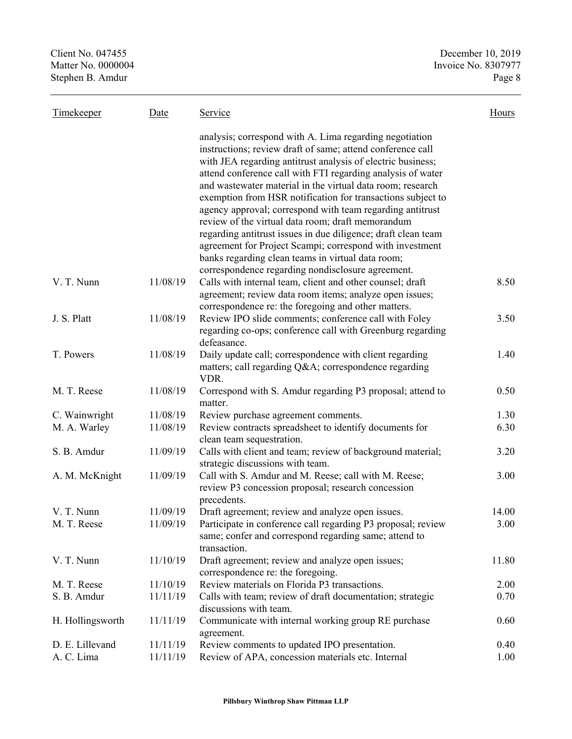| <b>Timekeeper</b> | Date     | Service                                                                                                                                                                                                                                                                                                                                                                                                                                                                                                                                                                                                                                                                                                                                   | Hours |
|-------------------|----------|-------------------------------------------------------------------------------------------------------------------------------------------------------------------------------------------------------------------------------------------------------------------------------------------------------------------------------------------------------------------------------------------------------------------------------------------------------------------------------------------------------------------------------------------------------------------------------------------------------------------------------------------------------------------------------------------------------------------------------------------|-------|
|                   |          | analysis; correspond with A. Lima regarding negotiation<br>instructions; review draft of same; attend conference call<br>with JEA regarding antitrust analysis of electric business;<br>attend conference call with FTI regarding analysis of water<br>and wastewater material in the virtual data room; research<br>exemption from HSR notification for transactions subject to<br>agency approval; correspond with team regarding antitrust<br>review of the virtual data room; draft memorandum<br>regarding antitrust issues in due diligence; draft clean team<br>agreement for Project Scampi; correspond with investment<br>banks regarding clean teams in virtual data room;<br>correspondence regarding nondisclosure agreement. |       |
| V. T. Nunn        | 11/08/19 | Calls with internal team, client and other counsel; draft<br>agreement; review data room items; analyze open issues;<br>correspondence re: the foregoing and other matters.                                                                                                                                                                                                                                                                                                                                                                                                                                                                                                                                                               | 8.50  |
| J. S. Platt       | 11/08/19 | Review IPO slide comments; conference call with Foley<br>regarding co-ops; conference call with Greenburg regarding<br>defeasance.                                                                                                                                                                                                                                                                                                                                                                                                                                                                                                                                                                                                        | 3.50  |
| T. Powers         | 11/08/19 | Daily update call; correspondence with client regarding<br>matters; call regarding Q&A correspondence regarding<br>VDR.                                                                                                                                                                                                                                                                                                                                                                                                                                                                                                                                                                                                                   | 1.40  |
| M. T. Reese       | 11/08/19 | Correspond with S. Amdur regarding P3 proposal; attend to<br>matter.                                                                                                                                                                                                                                                                                                                                                                                                                                                                                                                                                                                                                                                                      | 0.50  |
| C. Wainwright     | 11/08/19 | Review purchase agreement comments.                                                                                                                                                                                                                                                                                                                                                                                                                                                                                                                                                                                                                                                                                                       | 1.30  |
| M. A. Warley      | 11/08/19 | Review contracts spreadsheet to identify documents for<br>clean team sequestration.                                                                                                                                                                                                                                                                                                                                                                                                                                                                                                                                                                                                                                                       | 6.30  |
| S. B. Amdur       | 11/09/19 | Calls with client and team; review of background material;<br>strategic discussions with team.                                                                                                                                                                                                                                                                                                                                                                                                                                                                                                                                                                                                                                            | 3.20  |
| A. M. McKnight    | 11/09/19 | Call with S. Amdur and M. Reese; call with M. Reese;<br>review P3 concession proposal; research concession<br>precedents.                                                                                                                                                                                                                                                                                                                                                                                                                                                                                                                                                                                                                 | 3.00  |
| V. T. Nunn        | 11/09/19 | Draft agreement; review and analyze open issues.                                                                                                                                                                                                                                                                                                                                                                                                                                                                                                                                                                                                                                                                                          | 14.00 |
| M. T. Reese       | 11/09/19 | Participate in conference call regarding P3 proposal; review<br>same; confer and correspond regarding same; attend to<br>transaction.                                                                                                                                                                                                                                                                                                                                                                                                                                                                                                                                                                                                     | 3.00  |
| V. T. Nunn        | 11/10/19 | Draft agreement; review and analyze open issues;<br>correspondence re: the foregoing.                                                                                                                                                                                                                                                                                                                                                                                                                                                                                                                                                                                                                                                     | 11.80 |
| M. T. Reese       | 11/10/19 | Review materials on Florida P3 transactions.                                                                                                                                                                                                                                                                                                                                                                                                                                                                                                                                                                                                                                                                                              | 2.00  |
| S. B. Amdur       | 11/11/19 | Calls with team; review of draft documentation; strategic<br>discussions with team.                                                                                                                                                                                                                                                                                                                                                                                                                                                                                                                                                                                                                                                       | 0.70  |
| H. Hollingsworth  | 11/11/19 | Communicate with internal working group RE purchase<br>agreement.                                                                                                                                                                                                                                                                                                                                                                                                                                                                                                                                                                                                                                                                         | 0.60  |
| D. E. Lillevand   | 11/11/19 | Review comments to updated IPO presentation.                                                                                                                                                                                                                                                                                                                                                                                                                                                                                                                                                                                                                                                                                              | 0.40  |
| A. C. Lima        | 11/11/19 | Review of APA, concession materials etc. Internal                                                                                                                                                                                                                                                                                                                                                                                                                                                                                                                                                                                                                                                                                         | 1.00  |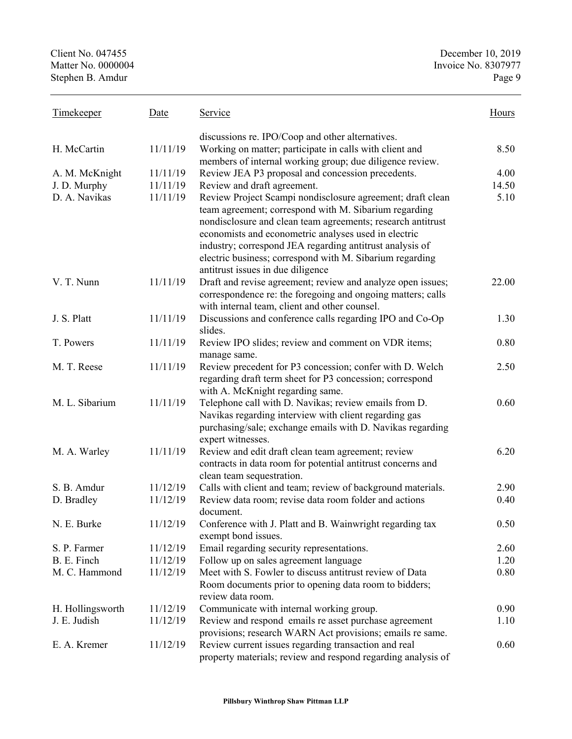| <b>Timekeeper</b> | Date     | Service                                                                                                                                                                                                                                                                                                                                                                                                 | Hours |
|-------------------|----------|---------------------------------------------------------------------------------------------------------------------------------------------------------------------------------------------------------------------------------------------------------------------------------------------------------------------------------------------------------------------------------------------------------|-------|
|                   |          | discussions re. IPO/Coop and other alternatives.                                                                                                                                                                                                                                                                                                                                                        |       |
| H. McCartin       | 11/11/19 | Working on matter; participate in calls with client and                                                                                                                                                                                                                                                                                                                                                 | 8.50  |
|                   |          | members of internal working group; due diligence review.                                                                                                                                                                                                                                                                                                                                                |       |
| A. M. McKnight    | 11/11/19 | Review JEA P3 proposal and concession precedents.                                                                                                                                                                                                                                                                                                                                                       | 4.00  |
| J. D. Murphy      | 11/11/19 | Review and draft agreement.                                                                                                                                                                                                                                                                                                                                                                             | 14.50 |
| D. A. Navikas     | 11/11/19 | Review Project Scampi nondisclosure agreement; draft clean<br>team agreement; correspond with M. Sibarium regarding<br>nondisclosure and clean team agreements; research antitrust<br>economists and econometric analyses used in electric<br>industry; correspond JEA regarding antitrust analysis of<br>electric business; correspond with M. Sibarium regarding<br>antitrust issues in due diligence | 5.10  |
| V. T. Nunn        | 11/11/19 | Draft and revise agreement; review and analyze open issues;<br>correspondence re: the foregoing and ongoing matters; calls<br>with internal team, client and other counsel.                                                                                                                                                                                                                             | 22.00 |
| J. S. Platt       | 11/11/19 | Discussions and conference calls regarding IPO and Co-Op<br>slides.                                                                                                                                                                                                                                                                                                                                     | 1.30  |
| T. Powers         | 11/11/19 | Review IPO slides; review and comment on VDR items;<br>manage same.                                                                                                                                                                                                                                                                                                                                     | 0.80  |
| M. T. Reese       | 11/11/19 | Review precedent for P3 concession; confer with D. Welch<br>regarding draft term sheet for P3 concession; correspond<br>with A. McKnight regarding same.                                                                                                                                                                                                                                                | 2.50  |
| M. L. Sibarium    | 11/11/19 | Telephone call with D. Navikas; review emails from D.<br>Navikas regarding interview with client regarding gas<br>purchasing/sale; exchange emails with D. Navikas regarding<br>expert witnesses.                                                                                                                                                                                                       | 0.60  |
| M. A. Warley      | 11/11/19 | Review and edit draft clean team agreement; review<br>contracts in data room for potential antitrust concerns and<br>clean team sequestration.                                                                                                                                                                                                                                                          | 6.20  |
| S. B. Amdur       | 11/12/19 | Calls with client and team; review of background materials.                                                                                                                                                                                                                                                                                                                                             | 2.90  |
| D. Bradley        | 11/12/19 | Review data room; revise data room folder and actions<br>document.                                                                                                                                                                                                                                                                                                                                      | 0.40  |
| N. E. Burke       | 11/12/19 | Conference with J. Platt and B. Wainwright regarding tax<br>exempt bond issues.                                                                                                                                                                                                                                                                                                                         | 0.50  |
| S. P. Farmer      | 11/12/19 | Email regarding security representations.                                                                                                                                                                                                                                                                                                                                                               | 2.60  |
| B. E. Finch       | 11/12/19 | Follow up on sales agreement language                                                                                                                                                                                                                                                                                                                                                                   | 1.20  |
| M. C. Hammond     | 11/12/19 | Meet with S. Fowler to discuss antitrust review of Data<br>Room documents prior to opening data room to bidders;<br>review data room.                                                                                                                                                                                                                                                                   | 0.80  |
| H. Hollingsworth  | 11/12/19 | Communicate with internal working group.                                                                                                                                                                                                                                                                                                                                                                | 0.90  |
| J. E. Judish      | 11/12/19 | Review and respond emails re asset purchase agreement<br>provisions; research WARN Act provisions; emails re same.                                                                                                                                                                                                                                                                                      | 1.10  |
| E. A. Kremer      | 11/12/19 | Review current issues regarding transaction and real<br>property materials; review and respond regarding analysis of                                                                                                                                                                                                                                                                                    | 0.60  |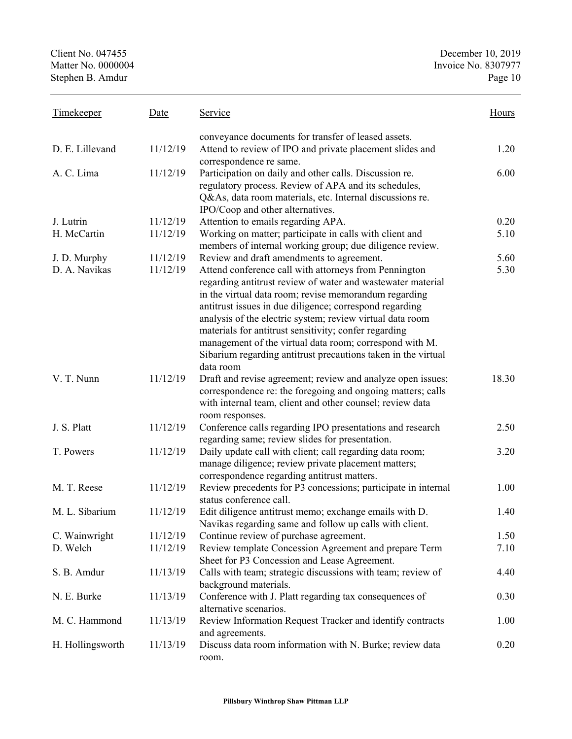| <b>Timekeeper</b> | Date     | Service                                                                                                                                                                                                                                                                                                                                                                                                                                                                                                 | Hours |
|-------------------|----------|---------------------------------------------------------------------------------------------------------------------------------------------------------------------------------------------------------------------------------------------------------------------------------------------------------------------------------------------------------------------------------------------------------------------------------------------------------------------------------------------------------|-------|
|                   |          | conveyance documents for transfer of leased assets.                                                                                                                                                                                                                                                                                                                                                                                                                                                     |       |
| D. E. Lillevand   | 11/12/19 | Attend to review of IPO and private placement slides and<br>correspondence re same.                                                                                                                                                                                                                                                                                                                                                                                                                     | 1.20  |
| A. C. Lima        | 11/12/19 | Participation on daily and other calls. Discussion re.<br>regulatory process. Review of APA and its schedules,<br>Q&As, data room materials, etc. Internal discussions re.<br>IPO/Coop and other alternatives.                                                                                                                                                                                                                                                                                          | 6.00  |
| J. Lutrin         | 11/12/19 | Attention to emails regarding APA.                                                                                                                                                                                                                                                                                                                                                                                                                                                                      | 0.20  |
| H. McCartin       | 11/12/19 | Working on matter; participate in calls with client and<br>members of internal working group; due diligence review.                                                                                                                                                                                                                                                                                                                                                                                     | 5.10  |
| J. D. Murphy      | 11/12/19 | Review and draft amendments to agreement.                                                                                                                                                                                                                                                                                                                                                                                                                                                               | 5.60  |
| D. A. Navikas     | 11/12/19 | Attend conference call with attorneys from Pennington<br>regarding antitrust review of water and wastewater material<br>in the virtual data room; revise memorandum regarding<br>antitrust issues in due diligence; correspond regarding<br>analysis of the electric system; review virtual data room<br>materials for antitrust sensitivity; confer regarding<br>management of the virtual data room; correspond with M.<br>Sibarium regarding antitrust precautions taken in the virtual<br>data room | 5.30  |
| V. T. Nunn        | 11/12/19 | Draft and revise agreement; review and analyze open issues;<br>correspondence re: the foregoing and ongoing matters; calls<br>with internal team, client and other counsel; review data<br>room responses.                                                                                                                                                                                                                                                                                              | 18.30 |
| J. S. Platt       | 11/12/19 | Conference calls regarding IPO presentations and research<br>regarding same; review slides for presentation.                                                                                                                                                                                                                                                                                                                                                                                            | 2.50  |
| T. Powers         | 11/12/19 | Daily update call with client; call regarding data room;<br>manage diligence; review private placement matters;<br>correspondence regarding antitrust matters.                                                                                                                                                                                                                                                                                                                                          | 3.20  |
| M. T. Reese       | 11/12/19 | Review precedents for P3 concessions; participate in internal<br>status conference call.                                                                                                                                                                                                                                                                                                                                                                                                                | 1.00  |
| M. L. Sibarium    | 11/12/19 | Edit diligence antitrust memo; exchange emails with D.<br>Navikas regarding same and follow up calls with client.                                                                                                                                                                                                                                                                                                                                                                                       | 1.40  |
| C. Wainwright     | 11/12/19 | Continue review of purchase agreement.                                                                                                                                                                                                                                                                                                                                                                                                                                                                  | 1.50  |
| D. Welch          | 11/12/19 | Review template Concession Agreement and prepare Term<br>Sheet for P3 Concession and Lease Agreement.                                                                                                                                                                                                                                                                                                                                                                                                   | 7.10  |
| S. B. Amdur       | 11/13/19 | Calls with team; strategic discussions with team; review of<br>background materials.                                                                                                                                                                                                                                                                                                                                                                                                                    | 4.40  |
| N. E. Burke       | 11/13/19 | Conference with J. Platt regarding tax consequences of<br>alternative scenarios.                                                                                                                                                                                                                                                                                                                                                                                                                        | 0.30  |
| M. C. Hammond     | 11/13/19 | Review Information Request Tracker and identify contracts<br>and agreements.                                                                                                                                                                                                                                                                                                                                                                                                                            | 1.00  |
| H. Hollingsworth  | 11/13/19 | Discuss data room information with N. Burke; review data<br>room.                                                                                                                                                                                                                                                                                                                                                                                                                                       | 0.20  |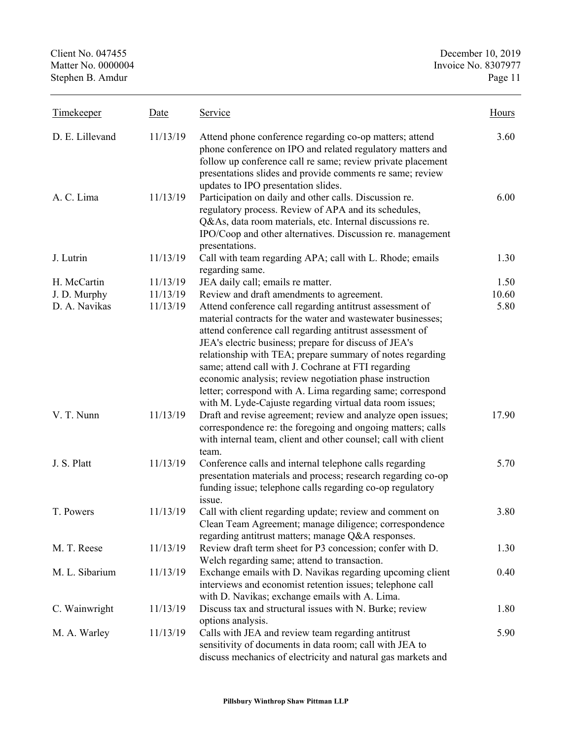| <b>Timekeeper</b> | Date     | Service                                                                                                                                                                                                                                                                                                                                                                                                                                                                                                                                               | Hours |
|-------------------|----------|-------------------------------------------------------------------------------------------------------------------------------------------------------------------------------------------------------------------------------------------------------------------------------------------------------------------------------------------------------------------------------------------------------------------------------------------------------------------------------------------------------------------------------------------------------|-------|
| D. E. Lillevand   | 11/13/19 | Attend phone conference regarding co-op matters; attend<br>phone conference on IPO and related regulatory matters and<br>follow up conference call re same; review private placement<br>presentations slides and provide comments re same; review<br>updates to IPO presentation slides.                                                                                                                                                                                                                                                              | 3.60  |
| A. C. Lima        | 11/13/19 | Participation on daily and other calls. Discussion re.<br>regulatory process. Review of APA and its schedules,<br>Q&As, data room materials, etc. Internal discussions re.<br>IPO/Coop and other alternatives. Discussion re. management<br>presentations.                                                                                                                                                                                                                                                                                            | 6.00  |
| J. Lutrin         | 11/13/19 | Call with team regarding APA; call with L. Rhode; emails<br>regarding same.                                                                                                                                                                                                                                                                                                                                                                                                                                                                           | 1.30  |
| H. McCartin       | 11/13/19 | JEA daily call; emails re matter.                                                                                                                                                                                                                                                                                                                                                                                                                                                                                                                     | 1.50  |
| J. D. Murphy      | 11/13/19 | Review and draft amendments to agreement.                                                                                                                                                                                                                                                                                                                                                                                                                                                                                                             | 10.60 |
| D. A. Navikas     | 11/13/19 | Attend conference call regarding antitrust assessment of<br>material contracts for the water and wastewater businesses;<br>attend conference call regarding antitrust assessment of<br>JEA's electric business; prepare for discuss of JEA's<br>relationship with TEA; prepare summary of notes regarding<br>same; attend call with J. Cochrane at FTI regarding<br>economic analysis; review negotiation phase instruction<br>letter; correspond with A. Lima regarding same; correspond<br>with M. Lyde-Cajuste regarding virtual data room issues; | 5.80  |
| V. T. Nunn        | 11/13/19 | Draft and revise agreement; review and analyze open issues;<br>correspondence re: the foregoing and ongoing matters; calls<br>with internal team, client and other counsel; call with client<br>team.                                                                                                                                                                                                                                                                                                                                                 | 17.90 |
| J. S. Platt       | 11/13/19 | Conference calls and internal telephone calls regarding<br>presentation materials and process; research regarding co-op<br>funding issue; telephone calls regarding co-op regulatory<br>issue.                                                                                                                                                                                                                                                                                                                                                        | 5.70  |
| T. Powers         | 11/13/19 | Call with client regarding update; review and comment on<br>Clean Team Agreement; manage diligence; correspondence<br>regarding antitrust matters; manage Q&A responses.                                                                                                                                                                                                                                                                                                                                                                              | 3.80  |
| M. T. Reese       | 11/13/19 | Review draft term sheet for P3 concession; confer with D.<br>Welch regarding same; attend to transaction.                                                                                                                                                                                                                                                                                                                                                                                                                                             | 1.30  |
| M. L. Sibarium    | 11/13/19 | Exchange emails with D. Navikas regarding upcoming client<br>interviews and economist retention issues; telephone call<br>with D. Navikas; exchange emails with A. Lima.                                                                                                                                                                                                                                                                                                                                                                              | 0.40  |
| C. Wainwright     | 11/13/19 | Discuss tax and structural issues with N. Burke; review<br>options analysis.                                                                                                                                                                                                                                                                                                                                                                                                                                                                          | 1.80  |
| M. A. Warley      | 11/13/19 | Calls with JEA and review team regarding antitrust<br>sensitivity of documents in data room; call with JEA to<br>discuss mechanics of electricity and natural gas markets and                                                                                                                                                                                                                                                                                                                                                                         | 5.90  |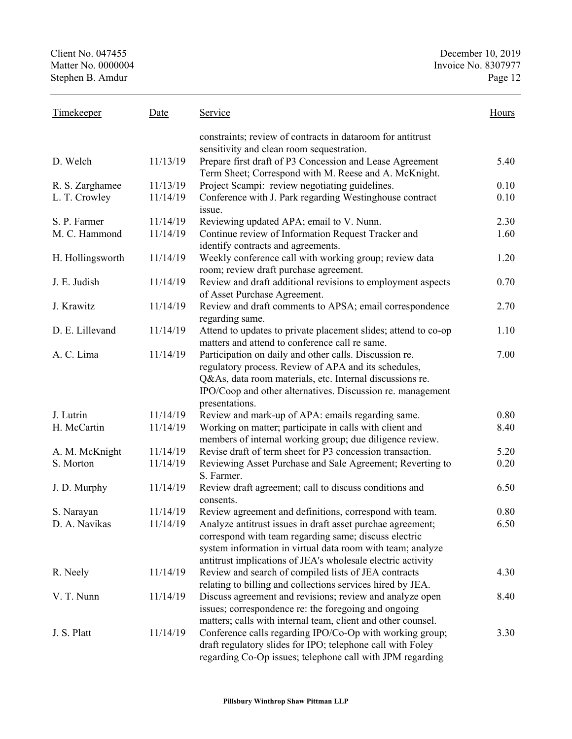Client No. 047455 December 10, 2019<br>Matter No. 0000004 Invoice No. 8307977 Stephen B. Amdur

| Timekeeper       | Date     | Service                                                                                                                                                                                                                                                    | Hours |
|------------------|----------|------------------------------------------------------------------------------------------------------------------------------------------------------------------------------------------------------------------------------------------------------------|-------|
|                  |          | constraints; review of contracts in dataroom for antitrust<br>sensitivity and clean room sequestration.                                                                                                                                                    |       |
| D. Welch         | 11/13/19 | Prepare first draft of P3 Concession and Lease Agreement<br>Term Sheet; Correspond with M. Reese and A. McKnight.                                                                                                                                          | 5.40  |
| R. S. Zarghamee  | 11/13/19 | Project Scampi: review negotiating guidelines.                                                                                                                                                                                                             | 0.10  |
| L. T. Crowley    | 11/14/19 | Conference with J. Park regarding Westinghouse contract<br>issue.                                                                                                                                                                                          | 0.10  |
| S. P. Farmer     | 11/14/19 | Reviewing updated APA; email to V. Nunn.                                                                                                                                                                                                                   | 2.30  |
| M. C. Hammond    | 11/14/19 | Continue review of Information Request Tracker and<br>identify contracts and agreements.                                                                                                                                                                   | 1.60  |
| H. Hollingsworth | 11/14/19 | Weekly conference call with working group; review data<br>room; review draft purchase agreement.                                                                                                                                                           | 1.20  |
| J. E. Judish     | 11/14/19 | Review and draft additional revisions to employment aspects<br>of Asset Purchase Agreement.                                                                                                                                                                | 0.70  |
| J. Krawitz       | 11/14/19 | Review and draft comments to APSA; email correspondence<br>regarding same.                                                                                                                                                                                 | 2.70  |
| D. E. Lillevand  | 11/14/19 | Attend to updates to private placement slides; attend to co-op<br>matters and attend to conference call re same.                                                                                                                                           | 1.10  |
| A. C. Lima       | 11/14/19 | Participation on daily and other calls. Discussion re.<br>regulatory process. Review of APA and its schedules,<br>Q&As, data room materials, etc. Internal discussions re.<br>IPO/Coop and other alternatives. Discussion re. management<br>presentations. | 7.00  |
| J. Lutrin        | 11/14/19 | Review and mark-up of APA: emails regarding same.                                                                                                                                                                                                          | 0.80  |
| H. McCartin      | 11/14/19 | Working on matter; participate in calls with client and<br>members of internal working group; due diligence review.                                                                                                                                        | 8.40  |
| A. M. McKnight   | 11/14/19 | Revise draft of term sheet for P3 concession transaction.                                                                                                                                                                                                  | 5.20  |
| S. Morton        | 11/14/19 | Reviewing Asset Purchase and Sale Agreement; Reverting to<br>S. Farmer.                                                                                                                                                                                    | 0.20  |
| J. D. Murphy     | 11/14/19 | Review draft agreement; call to discuss conditions and<br>consents.                                                                                                                                                                                        | 6.50  |
| S. Narayan       | 11/14/19 | Review agreement and definitions, correspond with team.                                                                                                                                                                                                    | 0.80  |
| D. A. Navikas    | 11/14/19 | Analyze antitrust issues in draft asset purchae agreement;<br>correspond with team regarding same; discuss electric<br>system information in virtual data room with team; analyze<br>antitrust implications of JEA's wholesale electric activity           | 6.50  |
| R. Neely         | 11/14/19 | Review and search of compiled lists of JEA contracts<br>relating to billing and collections services hired by JEA.                                                                                                                                         | 4.30  |
| V. T. Nunn       | 11/14/19 | Discuss agreement and revisions; review and analyze open<br>issues; correspondence re: the foregoing and ongoing<br>matters; calls with internal team, client and other counsel.                                                                           | 8.40  |
| J. S. Platt      | 11/14/19 | Conference calls regarding IPO/Co-Op with working group;<br>draft regulatory slides for IPO; telephone call with Foley<br>regarding Co-Op issues; telephone call with JPM regarding                                                                        | 3.30  |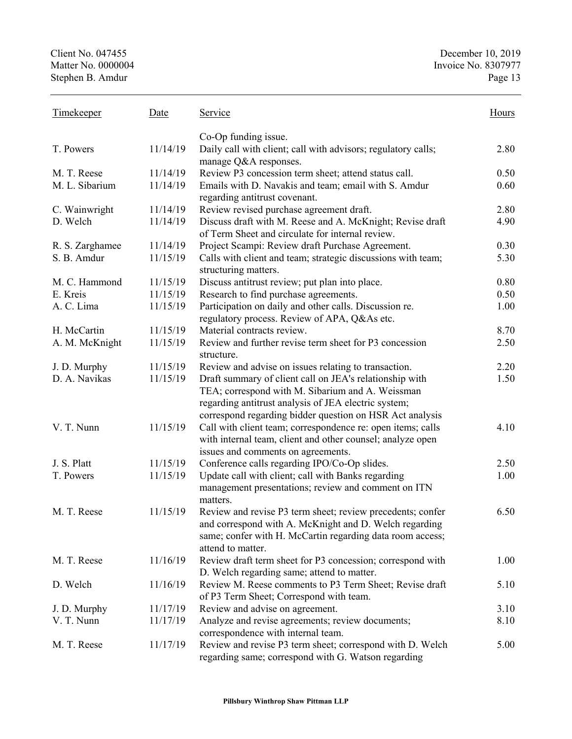| <b>Timekeeper</b>             | Date     | Service                                                                                                          | Hours        |
|-------------------------------|----------|------------------------------------------------------------------------------------------------------------------|--------------|
|                               |          | Co-Op funding issue.                                                                                             |              |
| T. Powers                     | 11/14/19 | Daily call with client; call with advisors; regulatory calls;                                                    | 2.80         |
|                               | 11/14/19 | manage Q&A responses.                                                                                            |              |
| M. T. Reese<br>M. L. Sibarium | 11/14/19 | Review P3 concession term sheet; attend status call.                                                             | 0.50<br>0.60 |
|                               |          | Emails with D. Navakis and team; email with S. Amdur<br>regarding antitrust covenant.                            |              |
| C. Wainwright                 | 11/14/19 | Review revised purchase agreement draft.                                                                         | 2.80         |
| D. Welch                      | 11/14/19 | Discuss draft with M. Reese and A. McKnight; Revise draft<br>of Term Sheet and circulate for internal review.    | 4.90         |
| R. S. Zarghamee               | 11/14/19 | Project Scampi: Review draft Purchase Agreement.                                                                 | 0.30         |
| S. B. Amdur                   | 11/15/19 | Calls with client and team; strategic discussions with team;                                                     | 5.30         |
|                               |          | structuring matters.                                                                                             |              |
| M. C. Hammond                 | 11/15/19 | Discuss antitrust review; put plan into place.                                                                   | 0.80         |
| E. Kreis                      | 11/15/19 | Research to find purchase agreements.                                                                            | 0.50         |
| A. C. Lima                    | 11/15/19 | Participation on daily and other calls. Discussion re.                                                           | 1.00         |
|                               |          | regulatory process. Review of APA, Q&As etc.                                                                     |              |
| H. McCartin                   | 11/15/19 | Material contracts review.                                                                                       | 8.70         |
| A. M. McKnight                | 11/15/19 | Review and further revise term sheet for P3 concession<br>structure.                                             | 2.50         |
| J. D. Murphy                  | 11/15/19 | Review and advise on issues relating to transaction.                                                             | 2.20         |
| D. A. Navikas                 | 11/15/19 | Draft summary of client call on JEA's relationship with                                                          | 1.50         |
|                               |          | TEA; correspond with M. Sibarium and A. Weissman                                                                 |              |
|                               |          | regarding antitrust analysis of JEA electric system;                                                             |              |
|                               |          | correspond regarding bidder question on HSR Act analysis                                                         |              |
| V. T. Nunn                    | 11/15/19 | Call with client team; correspondence re: open items; calls                                                      | 4.10         |
|                               |          | with internal team, client and other counsel; analyze open                                                       |              |
| J. S. Platt                   |          | issues and comments on agreements.                                                                               |              |
| T. Powers                     | 11/15/19 | Conference calls regarding IPO/Co-Op slides.                                                                     | 2.50         |
|                               | 11/15/19 | Update call with client; call with Banks regarding                                                               | 1.00         |
|                               |          | management presentations; review and comment on ITN<br>matters.                                                  |              |
| M. T. Reese                   | 11/15/19 | Review and revise P3 term sheet; review precedents; confer                                                       | 6.50         |
|                               |          | and correspond with A. McKnight and D. Welch regarding                                                           |              |
|                               |          | same; confer with H. McCartin regarding data room access;                                                        |              |
|                               |          | attend to matter.                                                                                                |              |
| M. T. Reese                   | 11/16/19 | Review draft term sheet for P3 concession; correspond with                                                       | 1.00         |
|                               |          | D. Welch regarding same; attend to matter.                                                                       |              |
| D. Welch                      | 11/16/19 | Review M. Reese comments to P3 Term Sheet; Revise draft                                                          | 5.10         |
|                               |          | of P3 Term Sheet; Correspond with team.                                                                          |              |
| J. D. Murphy                  | 11/17/19 | Review and advise on agreement.                                                                                  | 3.10         |
| V. T. Nunn                    | 11/17/19 | Analyze and revise agreements; review documents;                                                                 | 8.10         |
|                               |          | correspondence with internal team.                                                                               |              |
| M. T. Reese                   | 11/17/19 | Review and revise P3 term sheet; correspond with D. Welch<br>regarding same; correspond with G. Watson regarding | 5.00         |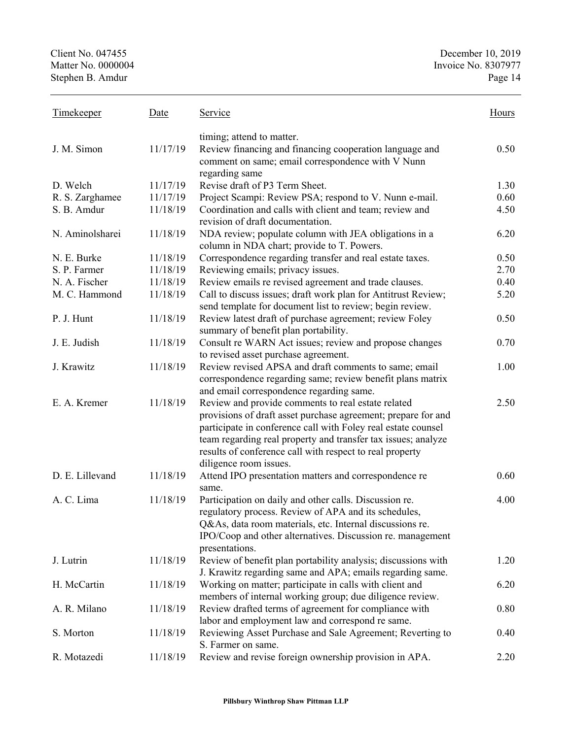| <b>Timekeeper</b> | Date     | Service                                                       | Hours |
|-------------------|----------|---------------------------------------------------------------|-------|
|                   |          | timing; attend to matter.                                     |       |
| J. M. Simon       | 11/17/19 | Review financing and financing cooperation language and       | 0.50  |
|                   |          | comment on same; email correspondence with V Nunn             |       |
|                   |          | regarding same                                                |       |
| D. Welch          | 11/17/19 | Revise draft of P3 Term Sheet.                                | 1.30  |
| R. S. Zarghamee   | 11/17/19 | Project Scampi: Review PSA; respond to V. Nunn e-mail.        | 0.60  |
| S. B. Amdur       | 11/18/19 | Coordination and calls with client and team; review and       | 4.50  |
|                   |          | revision of draft documentation.                              |       |
| N. Aminolsharei   | 11/18/19 | NDA review; populate column with JEA obligations in a         | 6.20  |
|                   |          | column in NDA chart; provide to T. Powers.                    |       |
| N. E. Burke       | 11/18/19 | Correspondence regarding transfer and real estate taxes.      | 0.50  |
| S. P. Farmer      | 11/18/19 | Reviewing emails; privacy issues.                             | 2.70  |
| N. A. Fischer     | 11/18/19 | Review emails re revised agreement and trade clauses.         | 0.40  |
| M. C. Hammond     | 11/18/19 | Call to discuss issues; draft work plan for Antitrust Review; | 5.20  |
|                   |          | send template for document list to review; begin review.      |       |
| P. J. Hunt        | 11/18/19 | Review latest draft of purchase agreement; review Foley       | 0.50  |
|                   |          | summary of benefit plan portability.                          |       |
| J. E. Judish      | 11/18/19 | Consult re WARN Act issues; review and propose changes        | 0.70  |
|                   |          | to revised asset purchase agreement.                          |       |
| J. Krawitz        | 11/18/19 | Review revised APSA and draft comments to same; email         | 1.00  |
|                   |          | correspondence regarding same; review benefit plans matrix    |       |
|                   |          | and email correspondence regarding same.                      |       |
| E. A. Kremer      | 11/18/19 | Review and provide comments to real estate related            | 2.50  |
|                   |          | provisions of draft asset purchase agreement; prepare for and |       |
|                   |          | participate in conference call with Foley real estate counsel |       |
|                   |          | team regarding real property and transfer tax issues; analyze |       |
|                   |          | results of conference call with respect to real property      |       |
|                   |          | diligence room issues.                                        |       |
| D. E. Lillevand   | 11/18/19 | Attend IPO presentation matters and correspondence re         | 0.60  |
|                   |          | same.                                                         |       |
| A. C. Lima        | 11/18/19 | Participation on daily and other calls. Discussion re.        | 4.00  |
|                   |          | regulatory process. Review of APA and its schedules,          |       |
|                   |          | Q&As, data room materials, etc. Internal discussions re.      |       |
|                   |          | IPO/Coop and other alternatives. Discussion re. management    |       |
|                   |          | presentations.                                                |       |
| J. Lutrin         | 11/18/19 | Review of benefit plan portability analysis; discussions with | 1.20  |
|                   |          | J. Krawitz regarding same and APA; emails regarding same.     |       |
| H. McCartin       | 11/18/19 | Working on matter; participate in calls with client and       | 6.20  |
|                   |          | members of internal working group; due diligence review.      |       |
| A. R. Milano      | 11/18/19 | Review drafted terms of agreement for compliance with         | 0.80  |
|                   |          | labor and employment law and correspond re same.              |       |
| S. Morton         | 11/18/19 | Reviewing Asset Purchase and Sale Agreement; Reverting to     | 0.40  |
|                   |          | S. Farmer on same.                                            |       |
| R. Motazedi       | 11/18/19 | Review and revise foreign ownership provision in APA.         | 2.20  |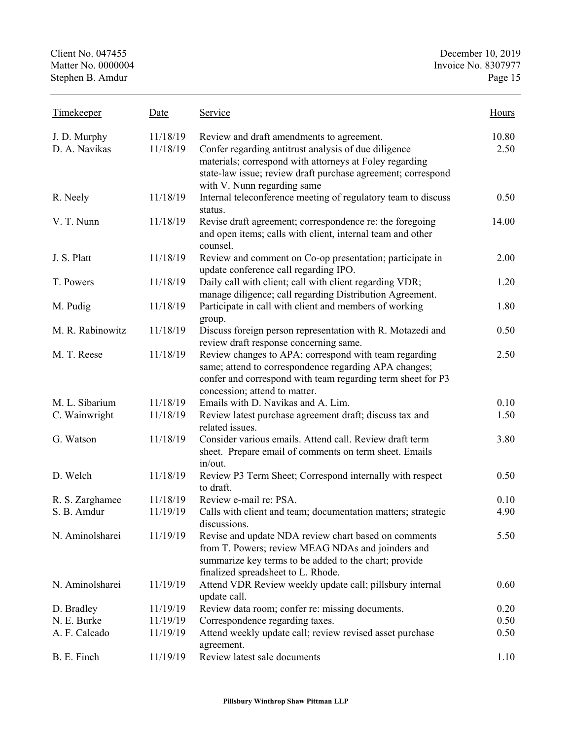| Timekeeper                    | Date                 | Service                                                                                                                                                                                                                                                     | Hours         |
|-------------------------------|----------------------|-------------------------------------------------------------------------------------------------------------------------------------------------------------------------------------------------------------------------------------------------------------|---------------|
| J. D. Murphy<br>D. A. Navikas | 11/18/19<br>11/18/19 | Review and draft amendments to agreement.<br>Confer regarding antitrust analysis of due diligence<br>materials; correspond with attorneys at Foley regarding<br>state-law issue; review draft purchase agreement; correspond<br>with V. Nunn regarding same | 10.80<br>2.50 |
| R. Neely                      | 11/18/19             | Internal teleconference meeting of regulatory team to discuss<br>status.                                                                                                                                                                                    | 0.50          |
| V. T. Nunn                    | 11/18/19             | Revise draft agreement; correspondence re: the foregoing<br>and open items; calls with client, internal team and other<br>counsel.                                                                                                                          | 14.00         |
| J. S. Platt                   | 11/18/19             | Review and comment on Co-op presentation; participate in<br>update conference call regarding IPO.                                                                                                                                                           | 2.00          |
| T. Powers                     | 11/18/19             | Daily call with client; call with client regarding VDR;<br>manage diligence; call regarding Distribution Agreement.                                                                                                                                         | 1.20          |
| M. Pudig                      | 11/18/19             | Participate in call with client and members of working<br>group.                                                                                                                                                                                            | 1.80          |
| M. R. Rabinowitz              | 11/18/19             | Discuss foreign person representation with R. Motazedi and<br>review draft response concerning same.                                                                                                                                                        | 0.50          |
| M. T. Reese                   | 11/18/19             | Review changes to APA; correspond with team regarding<br>same; attend to correspondence regarding APA changes;<br>confer and correspond with team regarding term sheet for P3<br>concession; attend to matter.                                              | 2.50          |
| M. L. Sibarium                | 11/18/19             | Emails with D. Navikas and A. Lim.                                                                                                                                                                                                                          | 0.10          |
| C. Wainwright                 | 11/18/19             | Review latest purchase agreement draft; discuss tax and<br>related issues.                                                                                                                                                                                  | 1.50          |
| G. Watson                     | 11/18/19             | Consider various emails. Attend call. Review draft term<br>sheet. Prepare email of comments on term sheet. Emails<br>in/out.                                                                                                                                | 3.80          |
| D. Welch                      | 11/18/19             | Review P3 Term Sheet; Correspond internally with respect<br>to draft.                                                                                                                                                                                       | 0.50          |
| R. S. Zarghamee               | 11/18/19             | Review e-mail re: PSA.                                                                                                                                                                                                                                      | 0.10          |
| S. B. Amdur                   | 11/19/19             | Calls with client and team; documentation matters; strategic<br>discussions.                                                                                                                                                                                | 4.90          |
| N. Aminolsharei               | 11/19/19             | Revise and update NDA review chart based on comments<br>from T. Powers; review MEAG NDAs and joinders and<br>summarize key terms to be added to the chart; provide<br>finalized spreadsheet to L. Rhode.                                                    | 5.50          |
| N. Aminolsharei               | 11/19/19             | Attend VDR Review weekly update call; pillsbury internal<br>update call.                                                                                                                                                                                    | 0.60          |
| D. Bradley                    | 11/19/19             | Review data room; confer re: missing documents.                                                                                                                                                                                                             | 0.20          |
| N. E. Burke                   | 11/19/19             | Correspondence regarding taxes.                                                                                                                                                                                                                             | 0.50          |
| A. F. Calcado                 | 11/19/19             | Attend weekly update call; review revised asset purchase<br>agreement.                                                                                                                                                                                      | 0.50          |
| B. E. Finch                   | 11/19/19             | Review latest sale documents                                                                                                                                                                                                                                | 1.10          |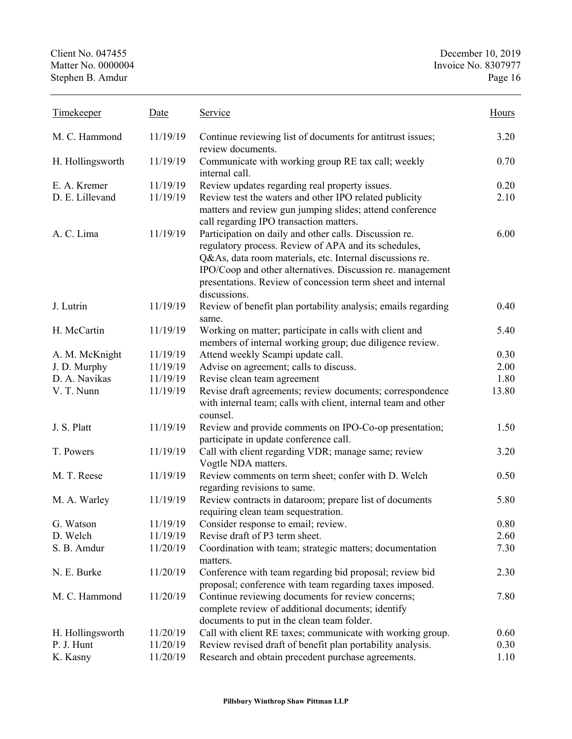Client No. 047455<br>
Matter No. 0000004<br>
Matter No. 0000004<br>
Matter No. 0000004 Invoice No. 8307977<br>Page 16 Stephen B. Amdur

| <b>Timekeeper</b> | Date     | Service                                                                                                                                                                                                                                                                                                                 | Hours |
|-------------------|----------|-------------------------------------------------------------------------------------------------------------------------------------------------------------------------------------------------------------------------------------------------------------------------------------------------------------------------|-------|
| M. C. Hammond     | 11/19/19 | Continue reviewing list of documents for antitrust issues;<br>review documents.                                                                                                                                                                                                                                         | 3.20  |
| H. Hollingsworth  | 11/19/19 | Communicate with working group RE tax call; weekly<br>internal call.                                                                                                                                                                                                                                                    | 0.70  |
| E. A. Kremer      | 11/19/19 | Review updates regarding real property issues.                                                                                                                                                                                                                                                                          | 0.20  |
| D. E. Lillevand   | 11/19/19 | Review test the waters and other IPO related publicity<br>matters and review gun jumping slides; attend conference<br>call regarding IPO transaction matters.                                                                                                                                                           | 2.10  |
| A. C. Lima        | 11/19/19 | Participation on daily and other calls. Discussion re.<br>regulatory process. Review of APA and its schedules,<br>Q&As, data room materials, etc. Internal discussions re.<br>IPO/Coop and other alternatives. Discussion re. management<br>presentations. Review of concession term sheet and internal<br>discussions. | 6.00  |
| J. Lutrin         | 11/19/19 | Review of benefit plan portability analysis; emails regarding<br>same.                                                                                                                                                                                                                                                  | 0.40  |
| H. McCartin       | 11/19/19 | Working on matter; participate in calls with client and<br>members of internal working group; due diligence review.                                                                                                                                                                                                     | 5.40  |
| A. M. McKnight    | 11/19/19 | Attend weekly Scampi update call.                                                                                                                                                                                                                                                                                       | 0.30  |
| J. D. Murphy      | 11/19/19 | Advise on agreement; calls to discuss.                                                                                                                                                                                                                                                                                  | 2.00  |
| D. A. Navikas     | 11/19/19 | Revise clean team agreement                                                                                                                                                                                                                                                                                             | 1.80  |
| V. T. Nunn        | 11/19/19 | Revise draft agreements; review documents; correspondence<br>with internal team; calls with client, internal team and other<br>counsel.                                                                                                                                                                                 | 13.80 |
| J. S. Platt       | 11/19/19 | Review and provide comments on IPO-Co-op presentation;<br>participate in update conference call.                                                                                                                                                                                                                        | 1.50  |
| T. Powers         | 11/19/19 | Call with client regarding VDR; manage same; review<br>Vogtle NDA matters.                                                                                                                                                                                                                                              | 3.20  |
| M. T. Reese       | 11/19/19 | Review comments on term sheet; confer with D. Welch<br>regarding revisions to same.                                                                                                                                                                                                                                     | 0.50  |
| M. A. Warley      | 11/19/19 | Review contracts in dataroom; prepare list of documents<br>requiring clean team sequestration.                                                                                                                                                                                                                          | 5.80  |
| G. Watson         | 11/19/19 | Consider response to email; review.                                                                                                                                                                                                                                                                                     | 0.80  |
| D. Welch          | 11/19/19 | Revise draft of P3 term sheet.                                                                                                                                                                                                                                                                                          | 2.60  |
| S. B. Amdur       | 11/20/19 | Coordination with team; strategic matters; documentation<br>matters.                                                                                                                                                                                                                                                    | 7.30  |
| N. E. Burke       | 11/20/19 | Conference with team regarding bid proposal; review bid<br>proposal; conference with team regarding taxes imposed.                                                                                                                                                                                                      | 2.30  |
| M. C. Hammond     | 11/20/19 | Continue reviewing documents for review concerns;<br>complete review of additional documents; identify<br>documents to put in the clean team folder.                                                                                                                                                                    | 7.80  |
| H. Hollingsworth  | 11/20/19 | Call with client RE taxes; communicate with working group.                                                                                                                                                                                                                                                              | 0.60  |
| P. J. Hunt        | 11/20/19 | Review revised draft of benefit plan portability analysis.                                                                                                                                                                                                                                                              | 0.30  |
| K. Kasny          | 11/20/19 | Research and obtain precedent purchase agreements.                                                                                                                                                                                                                                                                      | 1.10  |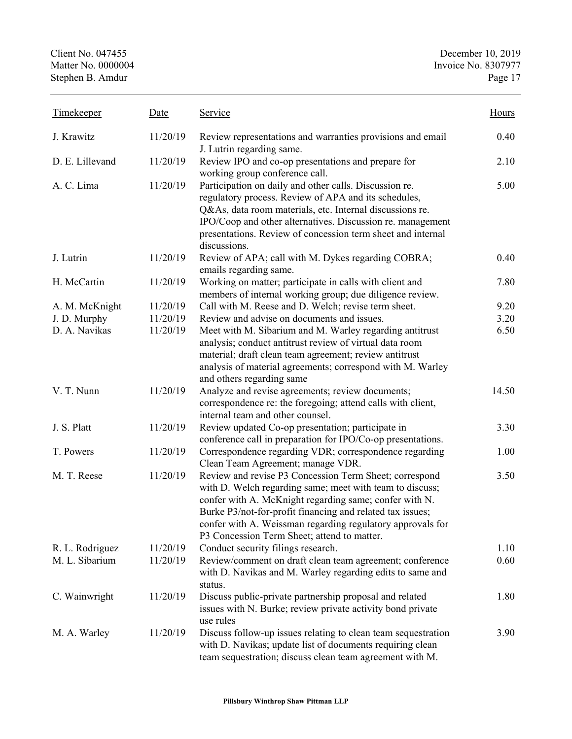Client No. 047455<br>
Matter No. 0000004<br>
Matter No. 0000004<br>
Matter No. 0000004 Invoice No. 8307977<br>Page 17 Stephen B. Amdur

| Timekeeper      | Date     | Service                                                                                                                                                                                                                                                                                                                                                | Hours |
|-----------------|----------|--------------------------------------------------------------------------------------------------------------------------------------------------------------------------------------------------------------------------------------------------------------------------------------------------------------------------------------------------------|-------|
| J. Krawitz      | 11/20/19 | Review representations and warranties provisions and email<br>J. Lutrin regarding same.                                                                                                                                                                                                                                                                | 0.40  |
| D. E. Lillevand | 11/20/19 | Review IPO and co-op presentations and prepare for<br>working group conference call.                                                                                                                                                                                                                                                                   | 2.10  |
| A. C. Lima      | 11/20/19 | Participation on daily and other calls. Discussion re.<br>regulatory process. Review of APA and its schedules,<br>Q&As, data room materials, etc. Internal discussions re.<br>IPO/Coop and other alternatives. Discussion re. management<br>presentations. Review of concession term sheet and internal<br>discussions.                                | 5.00  |
| J. Lutrin       | 11/20/19 | Review of APA; call with M. Dykes regarding COBRA;<br>emails regarding same.                                                                                                                                                                                                                                                                           | 0.40  |
| H. McCartin     | 11/20/19 | Working on matter; participate in calls with client and<br>members of internal working group; due diligence review.                                                                                                                                                                                                                                    | 7.80  |
| A. M. McKnight  | 11/20/19 | Call with M. Reese and D. Welch; revise term sheet.                                                                                                                                                                                                                                                                                                    | 9.20  |
| J. D. Murphy    | 11/20/19 | Review and advise on documents and issues.                                                                                                                                                                                                                                                                                                             | 3.20  |
| D. A. Navikas   | 11/20/19 | Meet with M. Sibarium and M. Warley regarding antitrust<br>analysis; conduct antitrust review of virtual data room<br>material; draft clean team agreement; review antitrust<br>analysis of material agreements; correspond with M. Warley<br>and others regarding same                                                                                | 6.50  |
| V. T. Nunn      | 11/20/19 | Analyze and revise agreements; review documents;<br>correspondence re: the foregoing; attend calls with client,<br>internal team and other counsel.                                                                                                                                                                                                    | 14.50 |
| J. S. Platt     | 11/20/19 | Review updated Co-op presentation; participate in<br>conference call in preparation for IPO/Co-op presentations.                                                                                                                                                                                                                                       | 3.30  |
| T. Powers       | 11/20/19 | Correspondence regarding VDR; correspondence regarding<br>Clean Team Agreement; manage VDR.                                                                                                                                                                                                                                                            | 1.00  |
| M. T. Reese     | 11/20/19 | Review and revise P3 Concession Term Sheet; correspond<br>with D. Welch regarding same; meet with team to discuss;<br>confer with A. McKnight regarding same; confer with N.<br>Burke P3/not-for-profit financing and related tax issues;<br>confer with A. Weissman regarding regulatory approvals for<br>P3 Concession Term Sheet; attend to matter. | 3.50  |
| R. L. Rodriguez | 11/20/19 | Conduct security filings research.                                                                                                                                                                                                                                                                                                                     | 1.10  |
| M. L. Sibarium  | 11/20/19 | Review/comment on draft clean team agreement; conference<br>with D. Navikas and M. Warley regarding edits to same and<br>status.                                                                                                                                                                                                                       | 0.60  |
| C. Wainwright   | 11/20/19 | Discuss public-private partnership proposal and related<br>issues with N. Burke; review private activity bond private<br>use rules                                                                                                                                                                                                                     | 1.80  |
| M. A. Warley    | 11/20/19 | Discuss follow-up issues relating to clean team sequestration<br>with D. Navikas; update list of documents requiring clean<br>team sequestration; discuss clean team agreement with M.                                                                                                                                                                 | 3.90  |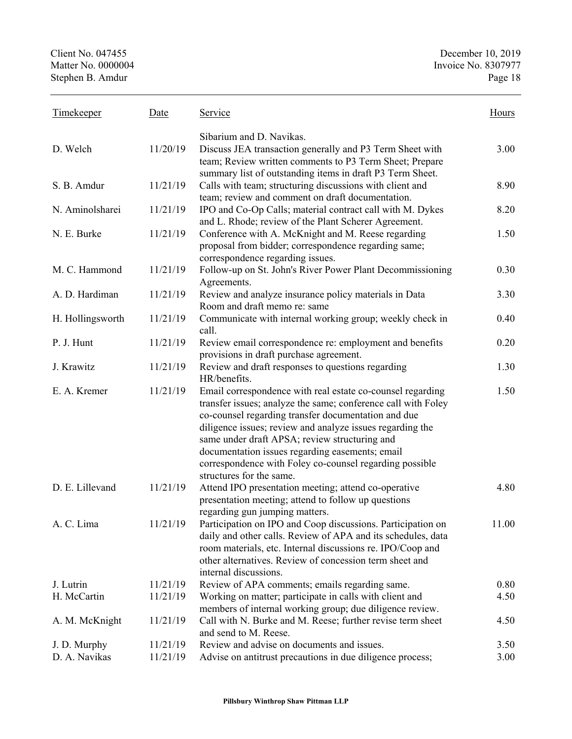| <b>Timekeeper</b> | Date     | Service                                                                                                                                                                                                                                                                                                                                                                                                                                    | Hours |
|-------------------|----------|--------------------------------------------------------------------------------------------------------------------------------------------------------------------------------------------------------------------------------------------------------------------------------------------------------------------------------------------------------------------------------------------------------------------------------------------|-------|
|                   |          | Sibarium and D. Navikas.                                                                                                                                                                                                                                                                                                                                                                                                                   |       |
| D. Welch          | 11/20/19 | Discuss JEA transaction generally and P3 Term Sheet with<br>team; Review written comments to P3 Term Sheet; Prepare                                                                                                                                                                                                                                                                                                                        | 3.00  |
| S. B. Amdur       | 11/21/19 | summary list of outstanding items in draft P3 Term Sheet.<br>Calls with team; structuring discussions with client and<br>team; review and comment on draft documentation.                                                                                                                                                                                                                                                                  | 8.90  |
| N. Aminolsharei   | 11/21/19 | IPO and Co-Op Calls; material contract call with M. Dykes<br>and L. Rhode; review of the Plant Scherer Agreement.                                                                                                                                                                                                                                                                                                                          | 8.20  |
| N. E. Burke       | 11/21/19 | Conference with A. McKnight and M. Reese regarding<br>proposal from bidder; correspondence regarding same;<br>correspondence regarding issues.                                                                                                                                                                                                                                                                                             | 1.50  |
| M. C. Hammond     | 11/21/19 | Follow-up on St. John's River Power Plant Decommissioning<br>Agreements.                                                                                                                                                                                                                                                                                                                                                                   | 0.30  |
| A. D. Hardiman    | 11/21/19 | Review and analyze insurance policy materials in Data<br>Room and draft memo re: same                                                                                                                                                                                                                                                                                                                                                      | 3.30  |
| H. Hollingsworth  | 11/21/19 | Communicate with internal working group; weekly check in<br>call.                                                                                                                                                                                                                                                                                                                                                                          | 0.40  |
| P. J. Hunt        | 11/21/19 | Review email correspondence re: employment and benefits<br>provisions in draft purchase agreement.                                                                                                                                                                                                                                                                                                                                         | 0.20  |
| J. Krawitz        | 11/21/19 | Review and draft responses to questions regarding<br>HR/benefits.                                                                                                                                                                                                                                                                                                                                                                          | 1.30  |
| E. A. Kremer      | 11/21/19 | Email correspondence with real estate co-counsel regarding<br>transfer issues; analyze the same; conference call with Foley<br>co-counsel regarding transfer documentation and due<br>diligence issues; review and analyze issues regarding the<br>same under draft APSA; review structuring and<br>documentation issues regarding easements; email<br>correspondence with Foley co-counsel regarding possible<br>structures for the same. | 1.50  |
| D. E. Lillevand   | 11/21/19 | Attend IPO presentation meeting; attend co-operative<br>presentation meeting; attend to follow up questions                                                                                                                                                                                                                                                                                                                                | 4.80  |
| A. C. Lima        | 11/21/19 | regarding gun jumping matters.<br>Participation on IPO and Coop discussions. Participation on<br>daily and other calls. Review of APA and its schedules, data<br>room materials, etc. Internal discussions re. IPO/Coop and<br>other alternatives. Review of concession term sheet and<br>internal discussions.                                                                                                                            | 11.00 |
| J. Lutrin         | 11/21/19 | Review of APA comments; emails regarding same.                                                                                                                                                                                                                                                                                                                                                                                             | 0.80  |
| H. McCartin       | 11/21/19 | Working on matter; participate in calls with client and<br>members of internal working group; due diligence review.                                                                                                                                                                                                                                                                                                                        | 4.50  |
| A. M. McKnight    | 11/21/19 | Call with N. Burke and M. Reese; further revise term sheet<br>and send to M. Reese.                                                                                                                                                                                                                                                                                                                                                        | 4.50  |
| J. D. Murphy      | 11/21/19 | Review and advise on documents and issues.                                                                                                                                                                                                                                                                                                                                                                                                 | 3.50  |
| D. A. Navikas     | 11/21/19 | Advise on antitrust precautions in due diligence process;                                                                                                                                                                                                                                                                                                                                                                                  | 3.00  |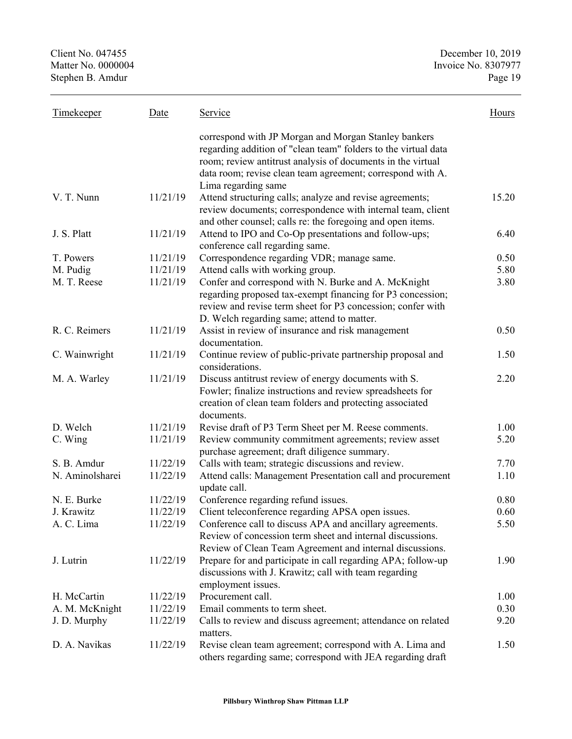| <b>Timekeeper</b> | Date     | Service                                                                                                                                                                                                                                             | <b>Hours</b> |
|-------------------|----------|-----------------------------------------------------------------------------------------------------------------------------------------------------------------------------------------------------------------------------------------------------|--------------|
|                   |          | correspond with JP Morgan and Morgan Stanley bankers<br>regarding addition of "clean team" folders to the virtual data<br>room; review antitrust analysis of documents in the virtual<br>data room; revise clean team agreement; correspond with A. |              |
|                   |          | Lima regarding same                                                                                                                                                                                                                                 |              |
| V. T. Nunn        | 11/21/19 | Attend structuring calls; analyze and revise agreements;<br>review documents; correspondence with internal team, client<br>and other counsel; calls re: the foregoing and open items.                                                               | 15.20        |
| J. S. Platt       | 11/21/19 | Attend to IPO and Co-Op presentations and follow-ups;<br>conference call regarding same.                                                                                                                                                            | 6.40         |
| T. Powers         | 11/21/19 | Correspondence regarding VDR; manage same.                                                                                                                                                                                                          | 0.50         |
| M. Pudig          | 11/21/19 | Attend calls with working group.                                                                                                                                                                                                                    | 5.80         |
| M. T. Reese       | 11/21/19 | Confer and correspond with N. Burke and A. McKnight                                                                                                                                                                                                 | 3.80         |
|                   |          | regarding proposed tax-exempt financing for P3 concession;<br>review and revise term sheet for P3 concession; confer with<br>D. Welch regarding same; attend to matter.                                                                             |              |
| R. C. Reimers     | 11/21/19 | Assist in review of insurance and risk management<br>documentation.                                                                                                                                                                                 | 0.50         |
| C. Wainwright     | 11/21/19 | Continue review of public-private partnership proposal and<br>considerations.                                                                                                                                                                       | 1.50         |
| M. A. Warley      | 11/21/19 | Discuss antitrust review of energy documents with S.<br>Fowler; finalize instructions and review spreadsheets for<br>creation of clean team folders and protecting associated<br>documents.                                                         | 2.20         |
| D. Welch          | 11/21/19 | Revise draft of P3 Term Sheet per M. Reese comments.                                                                                                                                                                                                | 1.00         |
| C. Wing           | 11/21/19 | Review community commitment agreements; review asset<br>purchase agreement; draft diligence summary.                                                                                                                                                | 5.20         |
| S. B. Amdur       | 11/22/19 | Calls with team; strategic discussions and review.                                                                                                                                                                                                  | 7.70         |
| N. Aminolsharei   | 11/22/19 | Attend calls: Management Presentation call and procurement<br>update call.                                                                                                                                                                          | 1.10         |
| N. E. Burke       | 11/22/19 | Conference regarding refund issues.                                                                                                                                                                                                                 | 0.80         |
| J. Krawitz        | 11/22/19 | Client teleconference regarding APSA open issues.                                                                                                                                                                                                   | 0.60         |
| A. C. Lima        | 11/22/19 | Conference call to discuss APA and ancillary agreements.<br>Review of concession term sheet and internal discussions.<br>Review of Clean Team Agreement and internal discussions.                                                                   | 5.50         |
| J. Lutrin         | 11/22/19 | Prepare for and participate in call regarding APA; follow-up<br>discussions with J. Krawitz; call with team regarding<br>employment issues.                                                                                                         | 1.90         |
| H. McCartin       | 11/22/19 | Procurement call.                                                                                                                                                                                                                                   | 1.00         |
| A. M. McKnight    | 11/22/19 | Email comments to term sheet.                                                                                                                                                                                                                       | 0.30         |
| J. D. Murphy      | 11/22/19 | Calls to review and discuss agreement; attendance on related                                                                                                                                                                                        | 9.20         |
|                   |          | matters.                                                                                                                                                                                                                                            |              |
| D. A. Navikas     | 11/22/19 | Revise clean team agreement; correspond with A. Lima and<br>others regarding same; correspond with JEA regarding draft                                                                                                                              | 1.50         |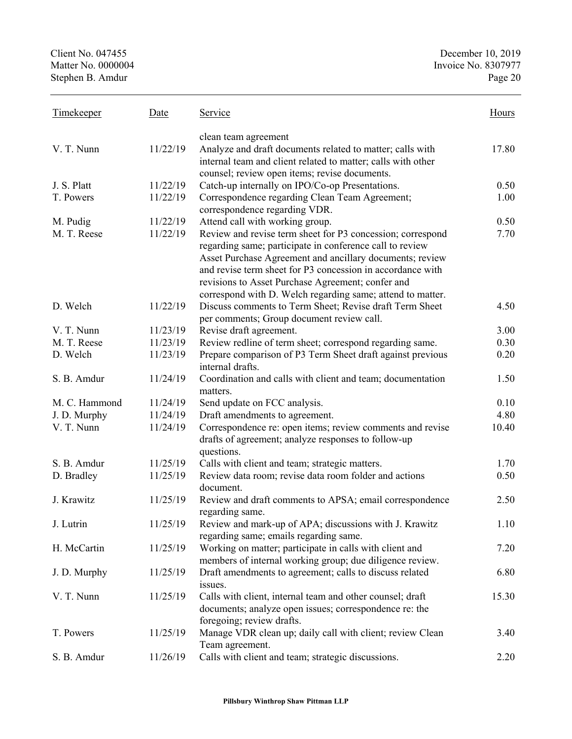| <b>Timekeeper</b>        | Date                 | Service                                                                                                                                                                                                                                                                                                                                                             | <b>Hours</b> |
|--------------------------|----------------------|---------------------------------------------------------------------------------------------------------------------------------------------------------------------------------------------------------------------------------------------------------------------------------------------------------------------------------------------------------------------|--------------|
| V. T. Nunn               | 11/22/19             | clean team agreement<br>Analyze and draft documents related to matter; calls with<br>internal team and client related to matter; calls with other                                                                                                                                                                                                                   | 17.80        |
|                          |                      | counsel; review open items; revise documents.                                                                                                                                                                                                                                                                                                                       |              |
| J. S. Platt<br>T. Powers | 11/22/19<br>11/22/19 | Catch-up internally on IPO/Co-op Presentations.                                                                                                                                                                                                                                                                                                                     | 0.50         |
|                          |                      | Correspondence regarding Clean Team Agreement;<br>correspondence regarding VDR.                                                                                                                                                                                                                                                                                     | 1.00         |
| M. Pudig                 | 11/22/19             | Attend call with working group.                                                                                                                                                                                                                                                                                                                                     | 0.50         |
| M. T. Reese              | 11/22/19             | Review and revise term sheet for P3 concession; correspond<br>regarding same; participate in conference call to review<br>Asset Purchase Agreement and ancillary documents; review<br>and revise term sheet for P3 concession in accordance with<br>revisions to Asset Purchase Agreement; confer and<br>correspond with D. Welch regarding same; attend to matter. | 7.70         |
| D. Welch                 | 11/22/19             | Discuss comments to Term Sheet; Revise draft Term Sheet<br>per comments; Group document review call.                                                                                                                                                                                                                                                                | 4.50         |
| V. T. Nunn               | 11/23/19             | Revise draft agreement.                                                                                                                                                                                                                                                                                                                                             | 3.00         |
| M. T. Reese              | 11/23/19             | Review redline of term sheet; correspond regarding same.                                                                                                                                                                                                                                                                                                            | 0.30         |
| D. Welch                 | 11/23/19             | Prepare comparison of P3 Term Sheet draft against previous<br>internal drafts.                                                                                                                                                                                                                                                                                      | 0.20         |
| S. B. Amdur              | 11/24/19             | Coordination and calls with client and team; documentation<br>matters.                                                                                                                                                                                                                                                                                              | 1.50         |
| M. C. Hammond            | 11/24/19             | Send update on FCC analysis.                                                                                                                                                                                                                                                                                                                                        | 0.10         |
| J. D. Murphy             | 11/24/19             | Draft amendments to agreement.                                                                                                                                                                                                                                                                                                                                      | 4.80         |
| V. T. Nunn               | 11/24/19             | Correspondence re: open items; review comments and revise<br>drafts of agreement; analyze responses to follow-up<br>questions.                                                                                                                                                                                                                                      | 10.40        |
| S. B. Amdur              | 11/25/19             | Calls with client and team; strategic matters.                                                                                                                                                                                                                                                                                                                      | 1.70         |
| D. Bradley               | 11/25/19             | Review data room; revise data room folder and actions<br>document.                                                                                                                                                                                                                                                                                                  | 0.50         |
| J. Krawitz               | 11/25/19             | Review and draft comments to APSA; email correspondence<br>regarding same.                                                                                                                                                                                                                                                                                          | 2.50         |
| J. Lutrin                | 11/25/19             | Review and mark-up of APA; discussions with J. Krawitz<br>regarding same; emails regarding same.                                                                                                                                                                                                                                                                    | 1.10         |
| H. McCartin              | 11/25/19             | Working on matter; participate in calls with client and<br>members of internal working group; due diligence review.                                                                                                                                                                                                                                                 | 7.20         |
| J. D. Murphy             | 11/25/19             | Draft amendments to agreement; calls to discuss related                                                                                                                                                                                                                                                                                                             | 6.80         |
| V. T. Nunn               | 11/25/19             | issues.<br>Calls with client, internal team and other counsel; draft<br>documents; analyze open issues; correspondence re: the                                                                                                                                                                                                                                      | 15.30        |
| T. Powers                | 11/25/19             | foregoing; review drafts.<br>Manage VDR clean up; daily call with client; review Clean                                                                                                                                                                                                                                                                              | 3.40         |
| S. B. Amdur              | 11/26/19             | Team agreement.<br>Calls with client and team; strategic discussions.                                                                                                                                                                                                                                                                                               | 2.20         |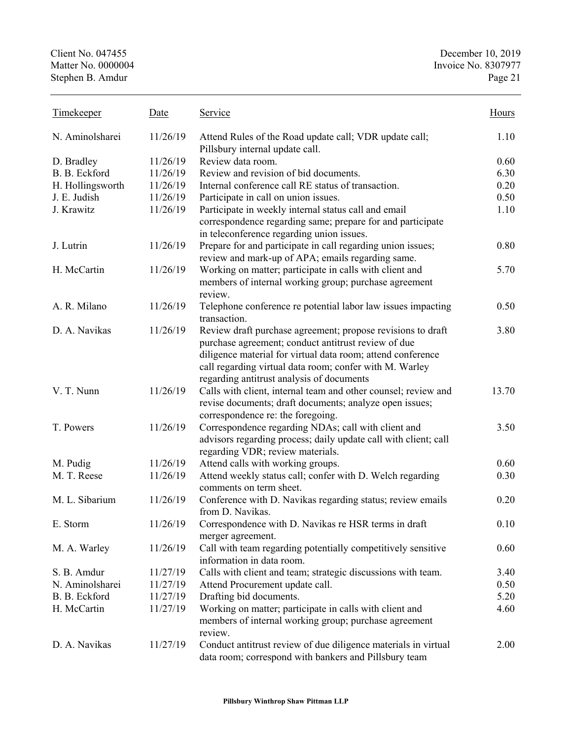Client No. 047455 December 10, 2019 Matter No. 0000004 Invoice No. 8307977 Stephen B. Amdur Page 21 Timekeeper Date Service Service N. Aminolsharei 11/26/19 Attend Rules of the Road update call; VDR update call; Pillsbury internal update call. 1.10 D. Bradley 11/26/19 Review data room. 0.60 B. B. Eckford 11/26/19 Review and revision of bid documents. 6.30 H. Hollingsworth 11/26/19 Internal conference call RE status of transaction. 0.20 J. E. Judish 11/26/19 Participate in call on union issues. 0.50 J. Krawitz 11/26/19 Participate in weekly internal status call and email correspondence regarding same; prepare for and participate in teleconference regarding union issues. 1.10 J. Lutrin 11/26/19 Prepare for and participate in call regarding union issues; review and mark-up of APA; emails regarding same. 0.80 H. McCartin 11/26/19 Working on matter; participate in calls with client and members of internal working group; purchase agreement review. 5.70 A. R. Milano 11/26/19 Telephone conference re potential labor law issues impacting transaction. 0.50 D. A. Navikas 11/26/19 Review draft purchase agreement; propose revisions to draft purchase agreement; conduct antitrust review of due diligence material for virtual data room; attend conference call regarding virtual data room; confer with M. Warley regarding antitrust analysis of documents 3.80 V. T. Nunn 11/26/19 Calls with client, internal team and other counsel; review and revise documents; draft documents; analyze open issues; correspondence re: the foregoing. 13.70 T. Powers 11/26/19 Correspondence regarding NDAs; call with client and advisors regarding process; daily update call with client; call regarding VDR; review materials. 3.50 M. Pudig 11/26/19 Attend calls with working groups. 0.60 M. T. Reese 11/26/19 Attend weekly status call; confer with D. Welch regarding comments on term sheet. 0.30 M. L. Sibarium 11/26/19 Conference with D. Navikas regarding status; review emails from D. Navikas. 0.20 E. Storm 11/26/19 Correspondence with D. Navikas re HSR terms in draft merger agreement. 0.10 M. A. Warley 11/26/19 Call with team regarding potentially competitively sensitive information in data room. 0.60 S. B. Amdur 11/27/19 Calls with client and team; strategic discussions with team. 3.40 N. Aminolsharei 11/27/19 Attend Procurement update call. 0.50 B. B. Eckford 11/27/19 Drafting bid documents. 5.20 H. McCartin 11/27/19 Working on matter; participate in calls with client and members of internal working group; purchase agreement review. 4.60 D. A. Navikas 11/27/19 Conduct antitrust review of due diligence materials in virtual data room; correspond with bankers and Pillsbury team 2.00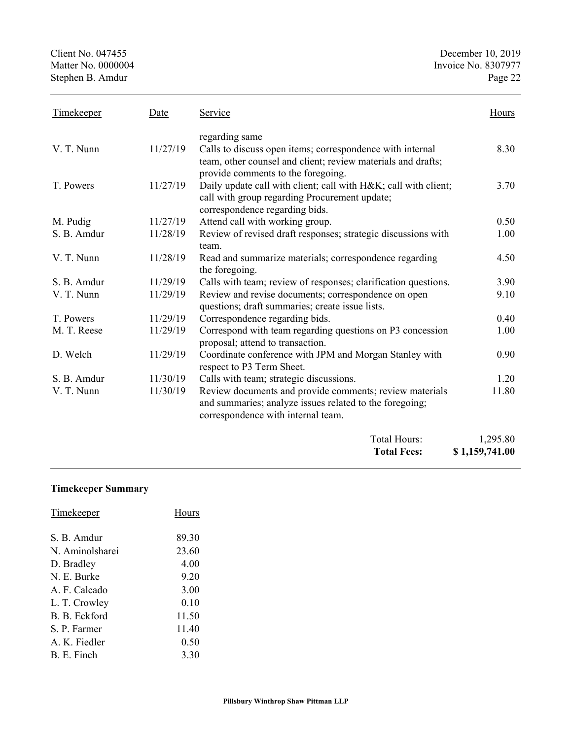Client No. 047455 December 10, 2019<br>Matter No. 0000004 Invoice No. 8307977 Stephen B. Amdur

| <b>Timekeeper</b> | Date     | Service                                                                                                                                                                                 | Hours |
|-------------------|----------|-----------------------------------------------------------------------------------------------------------------------------------------------------------------------------------------|-------|
| V. T. Nunn        | 11/27/19 | regarding same<br>Calls to discuss open items; correspondence with internal<br>team, other counsel and client; review materials and drafts;                                             | 8.30  |
| T. Powers         | 11/27/19 | provide comments to the foregoing.<br>Daily update call with client; call with H&K call with client;<br>call with group regarding Procurement update;<br>correspondence regarding bids. | 3.70  |
| M. Pudig          | 11/27/19 | Attend call with working group.                                                                                                                                                         | 0.50  |
| S. B. Amdur       | 11/28/19 | Review of revised draft responses; strategic discussions with<br>team.                                                                                                                  | 1.00  |
| V. T. Nunn        | 11/28/19 | Read and summarize materials; correspondence regarding<br>the foregoing.                                                                                                                | 4.50  |
| S. B. Amdur       | 11/29/19 | Calls with team; review of responses; clarification questions.                                                                                                                          | 3.90  |
| V. T. Nunn        | 11/29/19 | Review and revise documents; correspondence on open<br>questions; draft summaries; create issue lists.                                                                                  | 9.10  |
| T. Powers         | 11/29/19 | Correspondence regarding bids.                                                                                                                                                          | 0.40  |
| M. T. Reese       | 11/29/19 | Correspond with team regarding questions on P3 concession<br>proposal; attend to transaction.                                                                                           | 1.00  |
| D. Welch          | 11/29/19 | Coordinate conference with JPM and Morgan Stanley with<br>respect to P3 Term Sheet.                                                                                                     | 0.90  |
| S. B. Amdur       | 11/30/19 | Calls with team; strategic discussions.                                                                                                                                                 | 1.20  |
| V. T. Nunn        | 11/30/19 | Review documents and provide comments; review materials<br>and summaries; analyze issues related to the foregoing;<br>correspondence with internal team.                                | 11.80 |

| Total Hours:<br><b>Total Fees:</b> | 1,295.80<br>\$1,159,741.00 |
|------------------------------------|----------------------------|
|                                    |                            |

## **Timekeeper Summary**

| Timekeeper      | Hours |
|-----------------|-------|
| S. B. Amdur     | 89.30 |
| N. Aminolsharei | 23.60 |
| D. Bradley      | 4.00  |
| N. E. Burke     | 9.20  |
| A. F. Calcado   | 3.00  |
| L. T. Crowley   | 0.10  |
| B. B. Eckford   | 11.50 |
| S. P. Farmer    | 11.40 |
| A. K. Fiedler   | 0.50  |
| B. E. Finch     | 3.30  |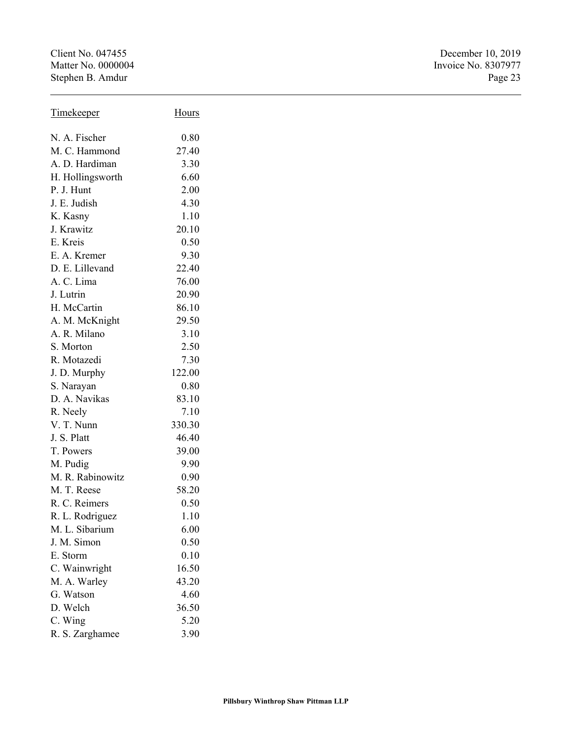Client No. 047455<br>
Matter No. 0000004<br>
Matter No. 0000004<br>
Invoice No. 8307977 Stephen B. Amdur

| <b>Timekeeper</b> | Hours  |
|-------------------|--------|
| N. A. Fischer     | 0.80   |
| M. C. Hammond     | 27.40  |
| A. D. Hardiman    | 3.30   |
| H. Hollingsworth  | 6.60   |
| P. J. Hunt        | 2.00   |
| J. E. Judish      | 4.30   |
| K. Kasny          | 1.10   |
| J. Krawitz        | 20.10  |
| E. Kreis          | 0.50   |
| E. A. Kremer      | 9.30   |
| D. E. Lillevand   | 22.40  |
| A. C. Lima        | 76.00  |
| J. Lutrin         | 20.90  |
| H. McCartin       | 86.10  |
| A. M. McKnight    | 29.50  |
| A. R. Milano      | 3.10   |
| S. Morton         | 2.50   |
| R. Motazedi       | 7.30   |
| J. D. Murphy      | 122.00 |
| S. Narayan        | 0.80   |
| D. A. Navikas     | 83.10  |
| R. Neely          | 7.10   |
| V. T. Nunn        | 330.30 |
| J. S. Platt       | 46.40  |
| T. Powers         | 39.00  |
| M. Pudig          | 9.90   |
| M. R. Rabinowitz  | 0.90   |
| M. T. Reese       | 58.20  |
| R. C. Reimers     | 0.50   |
| R. L. Rodriguez   | 1.10   |
| M. L. Sibarium    | 6.00   |
| J. M. Simon       | 0.50   |
| E. Storm          | 0.10   |
| C. Wainwright     | 16.50  |
| M. A. Warley      | 43.20  |
| G. Watson         | 4.60   |
| D. Welch          | 36.50  |
| C. Wing           | 5.20   |
| R. S. Zarghamee   | 3.90   |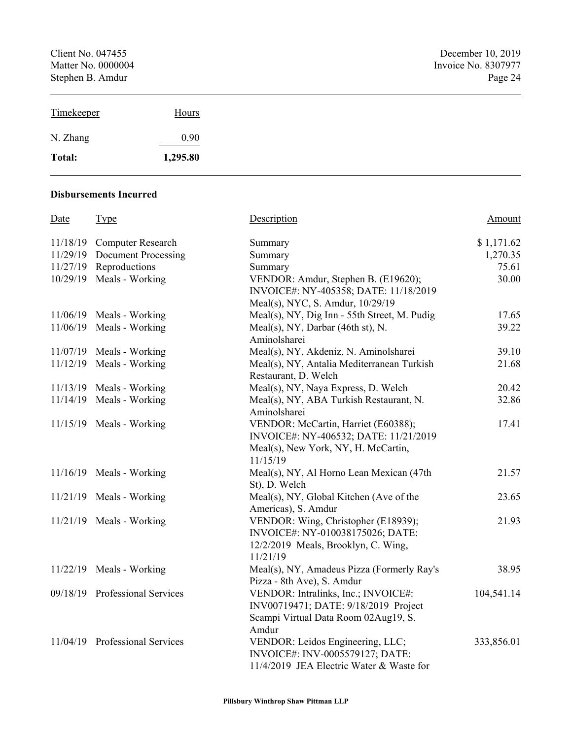Client No. 047455 December 10, 2019<br>Matter No. 0000004 Invoice No. 8307977 Stephen B. Amdur

| Timekeeper | Hours    |
|------------|----------|
| N. Zhang   | 0.90     |
| Total:     | 1,295.80 |

#### **Disbursements Incurred**

| Date | <b>Type</b>                    | Description                                  | Amount     |
|------|--------------------------------|----------------------------------------------|------------|
|      | 11/18/19 Computer Research     | Summary                                      | \$1,171.62 |
|      | 11/29/19 Document Processing   | Summary                                      | 1,270.35   |
|      | 11/27/19 Reproductions         | Summary                                      | 75.61      |
|      | $10/29/19$ Meals - Working     | VENDOR: Amdur, Stephen B. (E19620);          | 30.00      |
|      |                                | INVOICE#: NY-405358; DATE: 11/18/2019        |            |
|      |                                | Meal(s), NYC, S. Amdur, 10/29/19             |            |
|      | $11/06/19$ Meals - Working     | Meal(s), NY, Dig Inn - 55th Street, M. Pudig | 17.65      |
|      | $11/06/19$ Meals - Working     | Meal(s), NY, Darbar (46th st), N.            | 39.22      |
|      |                                | Aminolsharei                                 |            |
|      | $11/07/19$ Meals - Working     | Meal(s), NY, Akdeniz, N. Aminolsharei        | 39.10      |
|      | $11/12/19$ Meals - Working     | Meal(s), NY, Antalia Mediterranean Turkish   | 21.68      |
|      |                                | Restaurant, D. Welch                         |            |
|      | $11/13/19$ Meals - Working     | Meal(s), NY, Naya Express, D. Welch          | 20.42      |
|      | $11/14/19$ Meals - Working     | Meal(s), NY, ABA Turkish Restaurant, N.      | 32.86      |
|      |                                | Aminolsharei                                 |            |
|      | $11/15/19$ Meals - Working     | VENDOR: McCartin, Harriet (E60388);          | 17.41      |
|      |                                | INVOICE#: NY-406532; DATE: 11/21/2019        |            |
|      |                                | Meal(s), New York, NY, H. McCartin,          |            |
|      |                                | 11/15/19                                     |            |
|      | $11/16/19$ Meals - Working     | Meal(s), NY, Al Horno Lean Mexican (47th     | 21.57      |
|      |                                | St), D. Welch                                |            |
|      | $11/21/19$ Meals - Working     | Meal(s), NY, Global Kitchen (Ave of the      | 23.65      |
|      |                                | Americas), S. Amdur                          |            |
|      | $11/21/19$ Meals - Working     | VENDOR: Wing, Christopher (E18939);          | 21.93      |
|      |                                | INVOICE#: NY-010038175026; DATE:             |            |
|      |                                | 12/2/2019 Meals, Brooklyn, C. Wing,          |            |
|      |                                | 11/21/19                                     |            |
|      | $11/22/19$ Meals - Working     | Meal(s), NY, Amadeus Pizza (Formerly Ray's   | 38.95      |
|      |                                | Pizza - 8th Ave), S. Amdur                   |            |
|      | 09/18/19 Professional Services | VENDOR: Intralinks, Inc.; INVOICE#:          | 104,541.14 |
|      |                                | INV00719471; DATE: 9/18/2019 Project         |            |
|      |                                | Scampi Virtual Data Room 02Aug19, S.         |            |
|      |                                | Amdur                                        |            |
|      | 11/04/19 Professional Services | VENDOR: Leidos Engineering, LLC;             | 333,856.01 |
|      |                                | INVOICE#: INV-0005579127; DATE:              |            |
|      |                                | 11/4/2019 JEA Electric Water & Waste for     |            |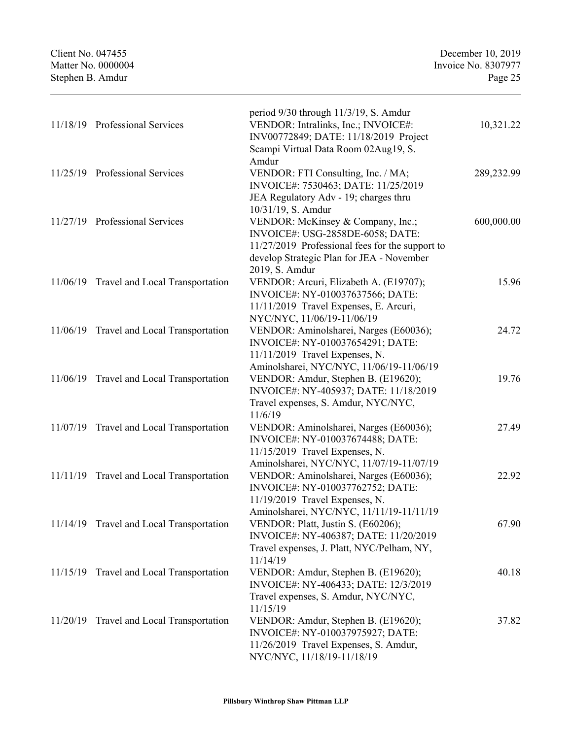Stephen B. Amdur

| 11/18/19 Professional Services           | period 9/30 through 11/3/19, S. Amdur<br>VENDOR: Intralinks, Inc.; INVOICE#:<br>INV00772849; DATE: 11/18/2019 Project<br>Scampi Virtual Data Room 02Aug19, S.                                                 | 10,321.22  |
|------------------------------------------|---------------------------------------------------------------------------------------------------------------------------------------------------------------------------------------------------------------|------------|
| 11/25/19 Professional Services           | Amdur<br>VENDOR: FTI Consulting, Inc. / MA;<br>INVOICE#: 7530463; DATE: 11/25/2019<br>JEA Regulatory Adv - 19; charges thru                                                                                   | 289,232.99 |
| 11/27/19 Professional Services           | 10/31/19, S. Amdur<br>VENDOR: McKinsey & Company, Inc.;<br>INVOICE#: USG-2858DE-6058; DATE:<br>11/27/2019 Professional fees for the support to<br>develop Strategic Plan for JEA - November<br>2019, S. Amdur | 600,000.00 |
| 11/06/19 Travel and Local Transportation | VENDOR: Arcuri, Elizabeth A. (E19707);<br>INVOICE#: NY-010037637566; DATE:<br>11/11/2019 Travel Expenses, E. Arcuri,<br>NYC/NYC, 11/06/19-11/06/19                                                            | 15.96      |
| 11/06/19 Travel and Local Transportation | VENDOR: Aminolsharei, Narges (E60036);<br>INVOICE#: NY-010037654291; DATE:<br>11/11/2019 Travel Expenses, N.                                                                                                  | 24.72      |
| 11/06/19 Travel and Local Transportation | Aminolsharei, NYC/NYC, 11/06/19-11/06/19<br>VENDOR: Amdur, Stephen B. (E19620);<br>INVOICE#: NY-405937; DATE: 11/18/2019<br>Travel expenses, S. Amdur, NYC/NYC,                                               | 19.76      |
| 11/07/19 Travel and Local Transportation | 11/6/19<br>VENDOR: Aminolsharei, Narges (E60036);<br>INVOICE#: NY-010037674488; DATE:<br>11/15/2019 Travel Expenses, N.                                                                                       | 27.49      |
| 11/11/19 Travel and Local Transportation | Aminolsharei, NYC/NYC, 11/07/19-11/07/19<br>VENDOR: Aminolsharei, Narges (E60036);<br>INVOICE#: NY-010037762752; DATE:<br>11/19/2019 Travel Expenses, N.                                                      | 22.92      |
| 11/14/19 Travel and Local Transportation | Aminolsharei, NYC/NYC, 11/11/19-11/11/19<br>VENDOR: Platt, Justin S. (E60206);<br>INVOICE#: NY-406387; DATE: 11/20/2019<br>Travel expenses, J. Platt, NYC/Pelham, NY,                                         | 67.90      |
| 11/15/19 Travel and Local Transportation | 11/14/19<br>VENDOR: Amdur, Stephen B. (E19620);<br>INVOICE#: NY-406433; DATE: 12/3/2019<br>Travel expenses, S. Amdur, NYC/NYC,                                                                                | 40.18      |
| 11/20/19 Travel and Local Transportation | 11/15/19<br>VENDOR: Amdur, Stephen B. (E19620);<br>INVOICE#: NY-010037975927; DATE:<br>11/26/2019 Travel Expenses, S. Amdur,<br>NYC/NYC, 11/18/19-11/18/19                                                    | 37.82      |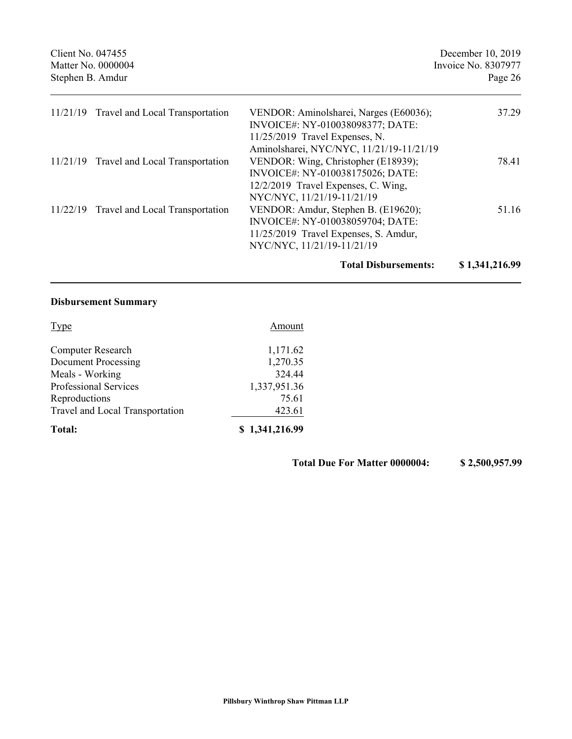| Client No. 047455<br>Matter No. 0000004<br>Stephen B. Amdur |                                          | December 10, 2019<br>Invoice No. 8307977<br>Page 26                                                                                                        |       |
|-------------------------------------------------------------|------------------------------------------|------------------------------------------------------------------------------------------------------------------------------------------------------------|-------|
|                                                             | 11/21/19 Travel and Local Transportation | VENDOR: Aminolsharei, Narges (E60036);<br>INVOICE#: NY-010038098377; DATE:<br>$11/25/2019$ Travel Expenses, N.<br>Aminolsharei, NYC/NYC, 11/21/19-11/21/19 | 37.29 |
|                                                             | 11/21/19 Travel and Local Transportation | VENDOR: Wing, Christopher (E18939);<br>INVOICE#: NY-010038175026; DATE:<br>12/2/2019 Travel Expenses, C. Wing,<br>NYC/NYC, 11/21/19-11/21/19               | 78.41 |
|                                                             | 11/22/19 Travel and Local Transportation | VENDOR: Amdur, Stephen B. (E19620);<br>INVOICE#: NY-010038059704; DATE:<br>11/25/2019 Travel Expenses, S. Amdur,<br>NYC/NYC, 11/21/19-11/21/19             | 51.16 |

## **Total Disbursements: \$ 1,341,216.99**

## **Disbursement Summary**

| Total:                          | \$1,341,216.99 |  |
|---------------------------------|----------------|--|
| Travel and Local Transportation | 423.61         |  |
| Reproductions                   | 75.61          |  |
| <b>Professional Services</b>    | 1,337,951.36   |  |
| Meals - Working                 | 324.44         |  |
| <b>Document Processing</b>      | 1,270.35       |  |
| <b>Computer Research</b>        | 1,171.62       |  |
| <b>Type</b>                     | Amount         |  |

**Total Due For Matter 0000004: \$ 2,500,957.99**